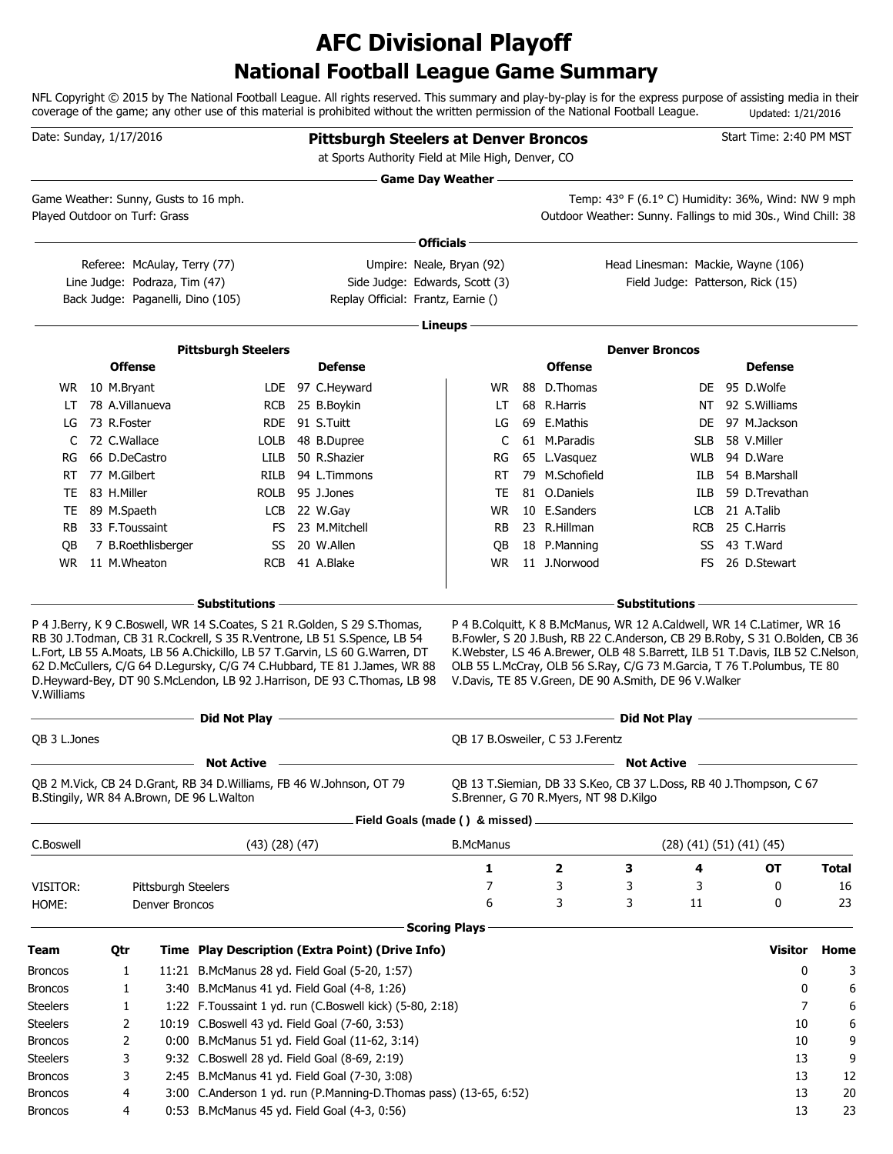### **National Football League Game Summary AFC Divisional Playoff**

NFL Copyright © 2015 by The National Football League. All rights reserved. This summary and play-by-play is for the express purpose of assisting media in their coverage of the game; any other use of this material is prohibited without the written permission of the National Football League. Updated: 1/21/2016

| Date: Sunday, 1/17/2016       |                 |                                                               |                                                                                                                                        | <b>Pittsburgh Steelers at Denver Broncos</b><br>at Sports Authority Field at Mile High, Denver, CO                                                                                                                                                                                                                                                                                                                                   |                           |                                        |                                                                                                                                                                                                                                                                                                      |            | Start Time: 2:40 PM MST            |              |
|-------------------------------|-----------------|---------------------------------------------------------------|----------------------------------------------------------------------------------------------------------------------------------------|--------------------------------------------------------------------------------------------------------------------------------------------------------------------------------------------------------------------------------------------------------------------------------------------------------------------------------------------------------------------------------------------------------------------------------------|---------------------------|----------------------------------------|------------------------------------------------------------------------------------------------------------------------------------------------------------------------------------------------------------------------------------------------------------------------------------------------------|------------|------------------------------------|--------------|
|                               |                 |                                                               |                                                                                                                                        |                                                                                                                                                                                                                                                                                                                                                                                                                                      | <b>Game Day Weather —</b> |                                        |                                                                                                                                                                                                                                                                                                      |            |                                    |              |
| Played Outdoor on Turf: Grass |                 |                                                               | Game Weather: Sunny, Gusts to 16 mph.                                                                                                  |                                                                                                                                                                                                                                                                                                                                                                                                                                      |                           |                                        | Temp: 43° F (6.1° C) Humidity: 36%, Wind: NW 9 mph<br>Outdoor Weather: Sunny. Fallings to mid 30s., Wind Chill: 38                                                                                                                                                                                   |            |                                    |              |
|                               |                 |                                                               |                                                                                                                                        |                                                                                                                                                                                                                                                                                                                                                                                                                                      | Officials -               |                                        |                                                                                                                                                                                                                                                                                                      |            |                                    |              |
|                               |                 | Referee: McAulay, Terry (77)<br>Line Judge: Podraza, Tim (47) |                                                                                                                                        | Umpire: Neale, Bryan (92)<br>Side Judge: Edwards, Scott (3)                                                                                                                                                                                                                                                                                                                                                                          |                           |                                        | Head Linesman: Mackie, Wayne (106)<br>Field Judge: Patterson, Rick (15)                                                                                                                                                                                                                              |            |                                    |              |
|                               |                 |                                                               | Back Judge: Paganelli, Dino (105)                                                                                                      | Replay Official: Frantz, Earnie ()                                                                                                                                                                                                                                                                                                                                                                                                   |                           |                                        |                                                                                                                                                                                                                                                                                                      |            |                                    |              |
|                               |                 |                                                               |                                                                                                                                        |                                                                                                                                                                                                                                                                                                                                                                                                                                      | · Lineups -               |                                        |                                                                                                                                                                                                                                                                                                      |            |                                    |              |
|                               |                 |                                                               | <b>Pittsburgh Steelers</b>                                                                                                             |                                                                                                                                                                                                                                                                                                                                                                                                                                      |                           |                                        | <b>Denver Broncos</b>                                                                                                                                                                                                                                                                                |            |                                    |              |
|                               | <b>Offense</b>  |                                                               |                                                                                                                                        | <b>Defense</b>                                                                                                                                                                                                                                                                                                                                                                                                                       |                           | <b>Offense</b>                         |                                                                                                                                                                                                                                                                                                      |            | <b>Defense</b>                     |              |
|                               | WR 10 M.Bryant  |                                                               |                                                                                                                                        | LDE 97 C.Heyward                                                                                                                                                                                                                                                                                                                                                                                                                     | WR.                       | 88 D.Thomas                            |                                                                                                                                                                                                                                                                                                      |            | DE 95 D.Wolfe                      |              |
| LT                            | 78 A.Villanueva |                                                               |                                                                                                                                        | RCB 25 B.Boykin                                                                                                                                                                                                                                                                                                                                                                                                                      | LT                        | 68 R.Harris                            |                                                                                                                                                                                                                                                                                                      |            | NT 92 S.Williams                   |              |
| LG                            | 73 R.Foster     |                                                               |                                                                                                                                        | RDE 91 S.Tuitt                                                                                                                                                                                                                                                                                                                                                                                                                       | LG                        | 69 E.Mathis                            |                                                                                                                                                                                                                                                                                                      |            | DE 97 M.Jackson                    |              |
| C                             | 72 C.Wallace    |                                                               | LOLB                                                                                                                                   | 48 B.Dupree                                                                                                                                                                                                                                                                                                                                                                                                                          | C                         | 61 M.Paradis                           |                                                                                                                                                                                                                                                                                                      | <b>SLB</b> | 58 V.Miller                        |              |
| RG                            | 66 D.DeCastro   |                                                               | LILB                                                                                                                                   | 50 R.Shazier                                                                                                                                                                                                                                                                                                                                                                                                                         | RG                        | 65 L.Vasquez                           |                                                                                                                                                                                                                                                                                                      | WLB        | 94 D.Ware                          |              |
| RT                            | 77 M.Gilbert    |                                                               | <b>RILB</b>                                                                                                                            | 94 L.Timmons                                                                                                                                                                                                                                                                                                                                                                                                                         | RT                        | 79 M.Schofield                         |                                                                                                                                                                                                                                                                                                      | ILB        | 54 B.Marshall                      |              |
| TE                            | 83 H.Miller     |                                                               | <b>ROLB</b>                                                                                                                            | 95 J.Jones                                                                                                                                                                                                                                                                                                                                                                                                                           | TE                        | 81 O.Daniels                           |                                                                                                                                                                                                                                                                                                      | ILB        | 59 D.Trevathan                     |              |
| TE                            | 89 M.Spaeth     |                                                               | LCB                                                                                                                                    | 22 W.Gay                                                                                                                                                                                                                                                                                                                                                                                                                             | <b>WR</b>                 | 10 E.Sanders                           |                                                                                                                                                                                                                                                                                                      | <b>LCB</b> | 21 A.Talib                         |              |
| RB.                           | 33 F.Toussaint  |                                                               | FS                                                                                                                                     | 23 M.Mitchell                                                                                                                                                                                                                                                                                                                                                                                                                        | <b>RB</b>                 | 23 R.Hillman                           |                                                                                                                                                                                                                                                                                                      | <b>RCB</b> | 25 C.Harris                        |              |
| QB                            |                 | 7 B.Roethlisberger                                            | SS                                                                                                                                     | 20 W.Allen                                                                                                                                                                                                                                                                                                                                                                                                                           | QB                        | 18 P.Manning                           |                                                                                                                                                                                                                                                                                                      |            | SS 43 T.Ward                       |              |
| <b>WR</b>                     | 11 M.Wheaton    |                                                               | <b>RCB</b>                                                                                                                             | 41 A.Blake                                                                                                                                                                                                                                                                                                                                                                                                                           | <b>WR</b>                 | 11 J.Norwood                           |                                                                                                                                                                                                                                                                                                      | FS.        | 26 D.Stewart                       |              |
|                               |                 |                                                               |                                                                                                                                        |                                                                                                                                                                                                                                                                                                                                                                                                                                      |                           |                                        |                                                                                                                                                                                                                                                                                                      |            |                                    |              |
| V. Williams                   |                 |                                                               |                                                                                                                                        | RB 30 J.Todman, CB 31 R.Cockrell, S 35 R.Ventrone, LB 51 S.Spence, LB 54<br>L.Fort, LB 55 A.Moats, LB 56 A.Chickillo, LB 57 T.Garvin, LS 60 G.Warren, DT<br>62 D.McCullers, C/G 64 D.Legursky, C/G 74 C.Hubbard, TE 81 J.James, WR 88<br>D.Heyward-Bey, DT 90 S.McLendon, LB 92 J.Harrison, DE 93 C.Thomas, LB 98<br>and the state of the state of the state of the state of the state of the state of the state of the state of the |                           |                                        | B.Fowler, S 20 J.Bush, RB 22 C.Anderson, CB 29 B.Roby, S 31 O.Bolden, CB 36<br>K. Webster, LS 46 A. Brewer, OLB 48 S. Barrett, ILB 51 T. Davis, ILB 52 C. Nelson,<br>OLB 55 L.McCray, OLB 56 S.Ray, C/G 73 M.Garcia, T 76 T.Polumbus, TE 80<br>V.Davis, TE 85 V.Green, DE 90 A.Smith, DE 96 V.Walker |            |                                    |              |
| QB 3 L.Jones                  |                 |                                                               | <b>Example 2</b> Did Not Play $-$                                                                                                      |                                                                                                                                                                                                                                                                                                                                                                                                                                      |                           | QB 17 B.Osweiler, C 53 J.Ferentz       |                                                                                                                                                                                                                                                                                                      |            |                                    |              |
|                               |                 |                                                               |                                                                                                                                        |                                                                                                                                                                                                                                                                                                                                                                                                                                      |                           |                                        |                                                                                                                                                                                                                                                                                                      |            |                                    |              |
|                               |                 |                                                               | <b>Not Active</b><br>QB 2 M.Vick, CB 24 D.Grant, RB 34 D.Williams, FB 46 W.Johnson, OT 79<br>B.Stingily, WR 84 A.Brown, DE 96 L.Walton |                                                                                                                                                                                                                                                                                                                                                                                                                                      |                           | S.Brenner, G 70 R.Myers, NT 98 D.Kilgo | <b>Not Active</b><br>QB 13 T.Siemian, DB 33 S.Keo, CB 37 L.Doss, RB 40 J.Thompson, C 67                                                                                                                                                                                                              |            |                                    |              |
|                               |                 |                                                               |                                                                                                                                        | Field Goals (made () & missed)                                                                                                                                                                                                                                                                                                                                                                                                       |                           |                                        |                                                                                                                                                                                                                                                                                                      |            |                                    |              |
| C.Boswell                     |                 |                                                               | $(43)$ $(28)$ $(47)$                                                                                                                   |                                                                                                                                                                                                                                                                                                                                                                                                                                      | <b>B.McManus</b>          |                                        |                                                                                                                                                                                                                                                                                                      |            | $(28)$ $(41)$ $(51)$ $(41)$ $(45)$ |              |
|                               |                 |                                                               |                                                                                                                                        |                                                                                                                                                                                                                                                                                                                                                                                                                                      | 1                         | $\mathbf{2}$                           | 3                                                                                                                                                                                                                                                                                                    | 4          | <b>OT</b>                          | <b>Total</b> |
| VISITOR:                      |                 | Pittsburgh Steelers                                           |                                                                                                                                        |                                                                                                                                                                                                                                                                                                                                                                                                                                      | 7                         | 3                                      | 3                                                                                                                                                                                                                                                                                                    | 3          | 0                                  | 16           |
| HOME:                         |                 | Denver Broncos                                                |                                                                                                                                        |                                                                                                                                                                                                                                                                                                                                                                                                                                      | 6                         | 3                                      | 3                                                                                                                                                                                                                                                                                                    | 11         | 0                                  | 23           |
|                               |                 |                                                               |                                                                                                                                        |                                                                                                                                                                                                                                                                                                                                                                                                                                      | <b>Scoring Plays</b>      |                                        |                                                                                                                                                                                                                                                                                                      |            |                                    |              |
| <b>Team</b>                   | Qtr             |                                                               |                                                                                                                                        | Time Play Description (Extra Point) (Drive Info)                                                                                                                                                                                                                                                                                                                                                                                     |                           |                                        |                                                                                                                                                                                                                                                                                                      |            | Visitor                            | Home         |
| Broncos                       | 1               |                                                               |                                                                                                                                        | 11:21 B.McManus 28 yd. Field Goal (5-20, 1:57)                                                                                                                                                                                                                                                                                                                                                                                       |                           |                                        |                                                                                                                                                                                                                                                                                                      |            | 0                                  | 3            |
| <b>Broncos</b>                | 1               |                                                               | 3:40 B.McManus 41 yd. Field Goal (4-8, 1:26)                                                                                           |                                                                                                                                                                                                                                                                                                                                                                                                                                      |                           |                                        |                                                                                                                                                                                                                                                                                                      |            | 0                                  | 6            |
| <b>Steelers</b>               | 1               |                                                               |                                                                                                                                        | 1:22 F.Toussaint 1 yd. run (C.Boswell kick) (5-80, 2:18)                                                                                                                                                                                                                                                                                                                                                                             |                           |                                        |                                                                                                                                                                                                                                                                                                      |            | 7                                  | 6            |
| <b>Steelers</b>               | 2               |                                                               | 10:19 C.Boswell 43 yd. Field Goal (7-60, 3:53)                                                                                         |                                                                                                                                                                                                                                                                                                                                                                                                                                      |                           |                                        |                                                                                                                                                                                                                                                                                                      |            | 10                                 | 6            |
| Broncos                       | 2               |                                                               |                                                                                                                                        | 0:00 B.McManus 51 yd. Field Goal (11-62, 3:14)                                                                                                                                                                                                                                                                                                                                                                                       |                           |                                        |                                                                                                                                                                                                                                                                                                      |            | 10                                 | 9            |
| <b>Steelers</b>               | 3               |                                                               | 9:32 C.Boswell 28 yd. Field Goal (8-69, 2:19)                                                                                          |                                                                                                                                                                                                                                                                                                                                                                                                                                      |                           |                                        |                                                                                                                                                                                                                                                                                                      |            | 13                                 | 9            |
| Broncos                       | 3               |                                                               |                                                                                                                                        | 2:45 B.McManus 41 yd. Field Goal (7-30, 3:08)                                                                                                                                                                                                                                                                                                                                                                                        |                           |                                        |                                                                                                                                                                                                                                                                                                      |            | 13                                 | 12           |
| <b>Broncos</b>                | 4               |                                                               |                                                                                                                                        | 3:00 C.Anderson 1 yd. run (P.Manning-D.Thomas pass) (13-65, 6:52)                                                                                                                                                                                                                                                                                                                                                                    |                           |                                        |                                                                                                                                                                                                                                                                                                      |            | 13                                 | 20           |
| Broncos                       | 4               |                                                               | 0:53 B.McManus 45 yd. Field Goal (4-3, 0:56)                                                                                           |                                                                                                                                                                                                                                                                                                                                                                                                                                      |                           |                                        |                                                                                                                                                                                                                                                                                                      |            | 13                                 | 23           |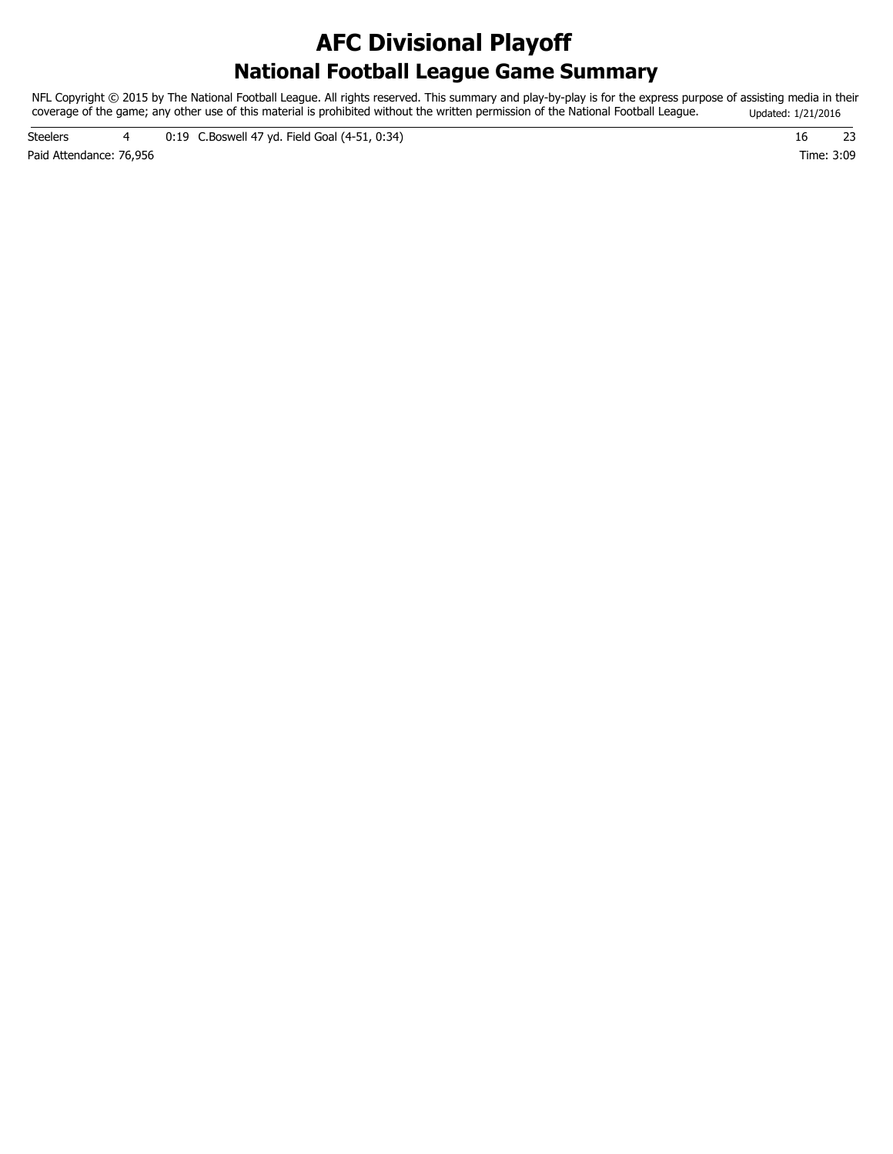### **National Football League Game Summary AFC Divisional Playoff**

NFL Copyright © 2015 by The National Football League. All rights reserved. This summary and play-by-play is for the express purpose of assisting media in their coverage of the game; any other use of this material is prohibited without the written permission of the National Football League. Updated: 1/21/2016

Paid Attendance: 76,956 Time: 3:09 Steelers 4 0:19 C.Boswell 47 yd. Field Goal (4-51, 0:34) 16 23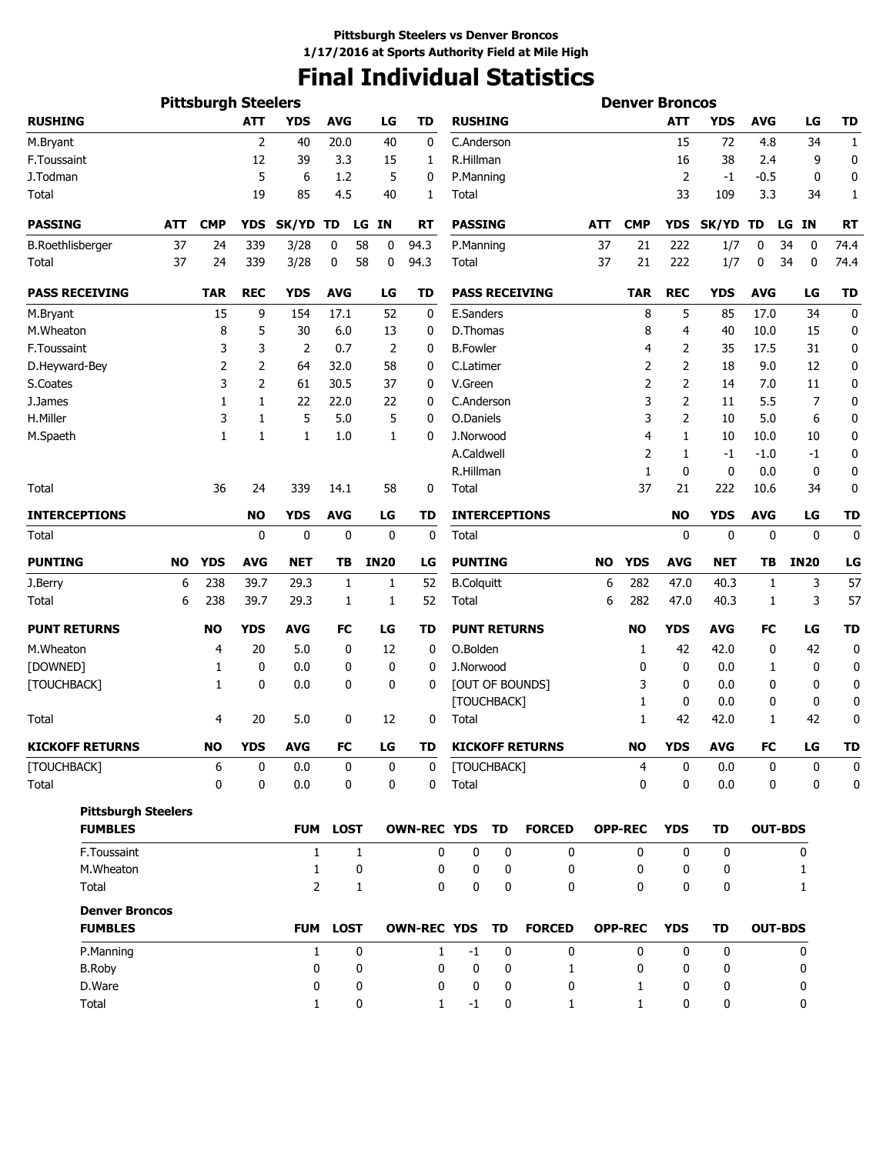## **Final Individual Statistics**

|                            |           | <b>Pittsburgh Steelers</b> |                |                |             |                 |                    |                      |             |                        |            | <b>Denver Broncos</b> |              |              |            |                 |             |
|----------------------------|-----------|----------------------------|----------------|----------------|-------------|-----------------|--------------------|----------------------|-------------|------------------------|------------|-----------------------|--------------|--------------|------------|-----------------|-------------|
| <b>RUSHING</b>             |           |                            | <b>ATT</b>     | <b>YDS</b>     | <b>AVG</b>  | LG              | TD                 | <b>RUSHING</b>       |             |                        |            |                       | <b>ATT</b>   | <b>YDS</b>   | <b>AVG</b> | LG              | TD          |
| M.Bryant                   |           |                            | $\overline{2}$ | 40             | 20.0        | 40              | 0                  | C.Anderson           |             |                        |            |                       | 15           | 72           | 4.8        | 34              | 1           |
| F.Toussaint                |           |                            | 12             | 39             | 3.3         | 15              | 1                  | R.Hillman            |             |                        |            |                       | 16           | 38           | 2.4        | 9               | 0           |
| J.Todman                   |           |                            | 5              | 6              | 1.2         | 5               | 0                  | P.Manning            |             |                        |            |                       | 2            | -1           | $-0.5$     | $\mathbf 0$     | 0           |
| Total                      |           |                            | 19             | 85             | 4.5         | 40              | 1                  | Total                |             |                        |            |                       | 33           | 109          | 3.3        | 34              | 1           |
| <b>PASSING</b>             | ATT       | <b>CMP</b>                 | YDS            | SK/YD          | TD          | LG<br><b>IN</b> | RT                 | <b>PASSING</b>       |             |                        | <b>ATT</b> | <b>CMP</b>            | <b>YDS</b>   | <b>SK/YD</b> | TD         | <b>IN</b><br>LG | <b>RT</b>   |
| <b>B.Roethlisberger</b>    | 37        | 24                         | 339            | 3/28           | 0           | 58<br>0         | 94.3               | P.Manning            |             |                        | 37         | 21                    | 222          | 1/7          | 0          | 34<br>0         | 74.4        |
| Total                      | 37        | 24                         | 339            | 3/28           | 0           | 58<br>0         | 94.3               | Total                |             |                        | 37         | 21                    | 222          | 1/7          | 0          | 34<br>0         | 74.4        |
| <b>PASS RECEIVING</b>      |           | <b>TAR</b>                 | <b>REC</b>     | <b>YDS</b>     | <b>AVG</b>  | LG              | <b>TD</b>          |                      |             | <b>PASS RECEIVING</b>  |            | <b>TAR</b>            | <b>REC</b>   | <b>YDS</b>   | <b>AVG</b> | LG              | <b>TD</b>   |
| M.Bryant                   |           | 15                         | 9              | 154            | 17.1        | 52              | 0                  | E.Sanders            |             |                        |            | 8                     | 5            | 85           | 17.0       | 34              | $\mathbf 0$ |
| M.Wheaton                  |           | 8                          | 5              | 30             | 6.0         | 13              | 0                  | D.Thomas             |             |                        |            | 8                     | 4            | 40           | 10.0       | 15              | 0           |
| F.Toussaint                |           | 3                          | 3              | 2              | 0.7         | 2               | 0                  | <b>B.Fowler</b>      |             |                        |            | 4                     | 2            | 35           | 17.5       | 31              | 0           |
| D.Heyward-Bey              |           | 2                          | 2              | 64             | 32.0        | 58              | 0                  | C.Latimer            |             |                        |            | 2                     | 2            | 18           | 9.0        | 12              | 0           |
| S.Coates                   |           | 3                          | 2              | 61             | 30.5        | 37              | 0                  | V.Green              |             |                        |            | $\overline{2}$        | 2            | 14           | 7.0        | 11              | 0           |
| J.James                    |           | 1                          | 1              | 22             | 22.0        | 22              | 0                  | C.Anderson           |             |                        |            | 3                     | 2            | 11           | 5.5        | 7               | 0           |
| H.Miller                   |           | 3                          | 1              | 5              | 5.0         | 5               | 0                  | O.Daniels            |             |                        |            | 3                     | 2            | 10           | 5.0        | 6               | 0           |
| M.Spaeth                   |           | 1                          | 1              | $\mathbf{1}$   | 1.0         | 1               | 0                  | J.Norwood            |             |                        |            | 4                     | 1            | 10           | 10.0       | 10              | 0           |
|                            |           |                            |                |                |             |                 |                    | A.Caldwell           |             |                        |            | $\overline{2}$        | 1            | $-1$         | $-1.0$     | $-1$            | 0           |
|                            |           |                            |                |                |             |                 |                    | R.Hillman            |             |                        |            | $\mathbf{1}$          | 0            | $\mathbf 0$  | 0.0        | 0               | 0           |
| Total                      |           | 36                         | 24             | 339            | 14.1        | 58              | 0                  | Total                |             |                        |            | 37                    | 21           | 222          | 10.6       | 34              | 0           |
| <b>INTERCEPTIONS</b>       |           |                            | <b>NO</b>      | <b>YDS</b>     | <b>AVG</b>  | LG              | TD                 |                      |             | <b>INTERCEPTIONS</b>   |            |                       | <b>NO</b>    | <b>YDS</b>   | <b>AVG</b> | LG              | <b>TD</b>   |
| Total                      |           |                            | 0              | 0              | 0           | 0               | 0                  | Total                |             |                        |            |                       | 0            | $\mathbf 0$  | 0          | 0               | 0           |
| <b>PUNTING</b>             | <b>NO</b> | <b>YDS</b>                 | <b>AVG</b>     | <b>NET</b>     | ΤВ          | <b>IN20</b>     | LG                 | <b>PUNTING</b>       |             |                        | <b>NO</b>  | <b>YDS</b>            | <b>AVG</b>   | NET          | TВ         | <b>IN20</b>     | LG          |
| J.Berry                    | 6         | 238                        | 39.7           | 29.3           | 1           | 1               | 52                 | <b>B.Colquitt</b>    |             |                        | 6          | 282                   | 47.0         | 40.3         | 1          | 3               | 57          |
| Total                      | 6         | 238                        | 39.7           | 29.3           | 1           | 1               | 52                 | Total                |             |                        | 6          | 282                   | 47.0         | 40.3         | 1          | 3               | 57          |
| <b>PUNT RETURNS</b>        |           | <b>NO</b>                  | <b>YDS</b>     | <b>AVG</b>     | FC          | LG              | TD                 | <b>PUNT RETURNS</b>  |             |                        |            | <b>NO</b>             | <b>YDS</b>   | <b>AVG</b>   | FC         | LG              | <b>TD</b>   |
| M.Wheaton                  |           | $\overline{4}$             | 20             | 5.0            | 0           | 12              | 0                  | O.Bolden             |             |                        |            | 1                     | 42           | 42.0         | 0          | 42              | 0           |
| [DOWNED]                   |           | 1                          | 0              | 0.0            | 0           | 0               | 0                  | J.Norwood            |             |                        |            | 0                     | 0            | 0.0          | 1          | 0               | 0           |
| [TOUCHBACK]                |           | 1                          | 0              | 0.0            | 0           | 0               | 0                  |                      |             | [OUT OF BOUNDS]        |            | 3                     | 0            | 0.0          | 0          | 0               | 0           |
|                            |           |                            |                |                |             |                 |                    |                      | [TOUCHBACK] |                        |            | 1                     | 0            | 0.0          | 0          | 0               | 0           |
| Total                      |           | 4                          | 20             | 5.0            | 0           | 12              | 0                  | Total                |             |                        |            | 1                     | 42           | 42.0         | 1          | 42              | 0           |
| <b>KICKOFF RETURNS</b>     |           | <b>NO</b>                  | <b>YDS</b>     | <b>AVG</b>     | FC          | LG              | TD                 |                      |             | <b>KICKOFF RETURNS</b> |            | <b>NO</b>             | <b>YDS</b>   | AVG          | FC         | LG              | <b>TD</b>   |
| [TOUCHBACK]<br>Total       |           | 6<br>$\mathbf{0}$          | 0<br>0         | 0.0<br>0.0     | 0<br>0      | 0<br>0          | 0<br>0             | [TOUCHBACK]<br>Total |             |                        |            | 4<br>$\mathbf{0}$     | 0<br>0       | 0.0<br>0.0   | 0<br>0     | 0<br>0          | 0<br>0      |
| <b>Pittsburgh Steelers</b> |           |                            |                |                |             |                 |                    |                      |             |                        |            |                       |              |              |            |                 |             |
| <b>FUMBLES</b>             |           |                            |                | <b>FUM</b>     | <b>LOST</b> |                 | <b>OWN-REC YDS</b> |                      | TD          | <b>FORCED</b>          |            | <b>OPP-REC</b>        | <b>YDS</b>   | <b>TD</b>    |            | <b>OUT-BDS</b>  |             |
| F.Toussaint                |           |                            |                | $\mathbf{1}$   |             | $\mathbf{1}$    | 0                  | 0                    | 0           | 0                      |            | 0                     | 0            | 0            |            | 0               |             |
| M.Wheaton                  |           |                            |                | $\mathbf{1}$   |             | 0               | 0                  | 0                    | 0           | 0                      |            | 0                     | 0            | 0            |            | 1               |             |
| Total                      |           |                            |                | $\overline{2}$ |             | $\mathbf{1}$    | 0                  | $\mathbf 0$          | $\mathbf 0$ | 0                      |            | 0                     | 0            | 0            |            | 1               |             |
| <b>Denver Broncos</b>      |           |                            |                |                |             |                 |                    |                      |             |                        |            |                       |              |              |            |                 |             |
| <b>FUMBLES</b>             |           |                            |                | <b>FUM</b>     | <b>LOST</b> |                 | <b>OWN-REC YDS</b> |                      | TD          | <b>FORCED</b>          |            | <b>OPP-REC</b>        | <b>YDS</b>   | TD           |            | <b>OUT-BDS</b>  |             |
| P.Manning                  |           |                            |                | $\mathbf{1}$   |             | 0               | $\mathbf{1}$       | $-1$                 | $\mathbf 0$ | $\mathbf 0$            |            | $\mathbf{0}$          | $\mathbf{0}$ | $\mathbf 0$  |            | 0               |             |
| <b>B.Roby</b>              |           |                            |                | 0              |             | 0               | 0                  | 0                    | 0           | 1                      |            | 0                     | 0            | 0            |            | 0               |             |
| D.Ware                     |           |                            |                | 0              |             | 0               | 0                  | 0                    | 0           | 0                      |            | 1                     | 0            | 0            |            | 0               |             |
| Total                      |           |                            |                | 1              |             | 0               | $\mathbf{1}$       | $-1$                 | 0           | 1                      |            | 1                     | $\mathbf{0}$ | 0            |            | 0               |             |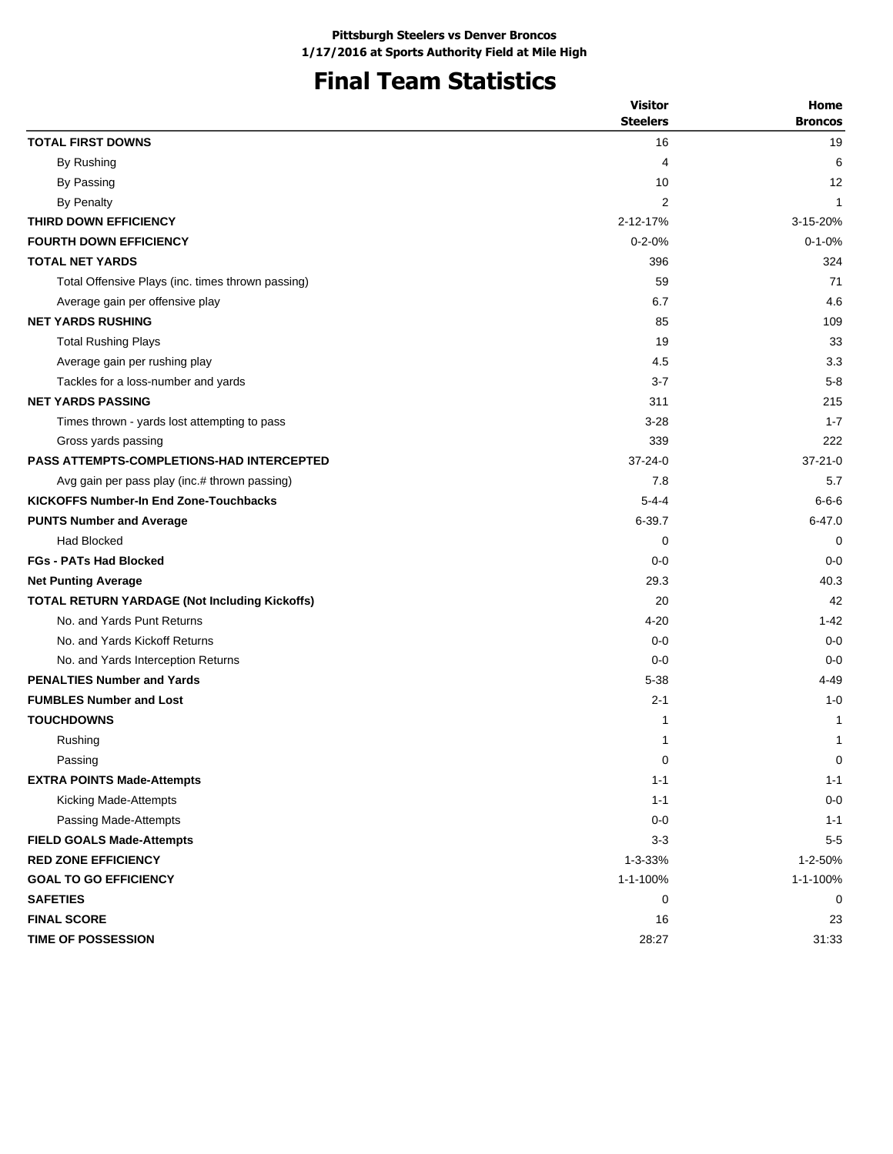# **Final Team Statistics**

|                                                   | <b>Visitor</b>  | Home           |
|---------------------------------------------------|-----------------|----------------|
|                                                   | <b>Steelers</b> | <b>Broncos</b> |
| <b>TOTAL FIRST DOWNS</b>                          | 16              | 19             |
| By Rushing                                        | 4               | 6              |
| By Passing                                        | 10              | 12             |
| By Penalty                                        | 2               | $\mathbf{1}$   |
| THIRD DOWN EFFICIENCY                             | 2-12-17%        | 3-15-20%       |
| <b>FOURTH DOWN EFFICIENCY</b>                     | $0 - 2 - 0%$    | $0 - 1 - 0%$   |
| <b>TOTAL NET YARDS</b>                            | 396             | 324            |
| Total Offensive Plays (inc. times thrown passing) | 59              | 71             |
| Average gain per offensive play                   | 6.7             | 4.6            |
| <b>NET YARDS RUSHING</b>                          | 85              | 109            |
| <b>Total Rushing Plays</b>                        | 19              | 33             |
| Average gain per rushing play                     | 4.5             | 3.3            |
| Tackles for a loss-number and yards               | $3 - 7$         | $5 - 8$        |
| <b>NET YARDS PASSING</b>                          | 311             | 215            |
| Times thrown - yards lost attempting to pass      | $3 - 28$        | $1 - 7$        |
| Gross yards passing                               | 339             | 222            |
| <b>PASS ATTEMPTS-COMPLETIONS-HAD INTERCEPTED</b>  | $37 - 24 - 0$   | $37-21-0$      |
| Avg gain per pass play (inc.# thrown passing)     | 7.8             | 5.7            |
| <b>KICKOFFS Number-In End Zone-Touchbacks</b>     | $5 - 4 - 4$     | $6 - 6 - 6$    |
| <b>PUNTS Number and Average</b>                   | 6-39.7          | $6 - 47.0$     |
| <b>Had Blocked</b>                                | 0               | 0              |
| <b>FGs - PATs Had Blocked</b>                     | $0 - 0$         | $0 - 0$        |
| <b>Net Punting Average</b>                        | 29.3            | 40.3           |
| TOTAL RETURN YARDAGE (Not Including Kickoffs)     | 20              | 42             |
| No. and Yards Punt Returns                        | $4 - 20$        | $1 - 42$       |
| No. and Yards Kickoff Returns                     | $0 - 0$         | $0 - 0$        |
| No. and Yards Interception Returns                | $0 - 0$         | $0 - 0$        |
| <b>PENALTIES Number and Yards</b>                 | $5 - 38$        | 4-49           |
| <b>FUMBLES Number and Lost</b>                    | $2 - 1$         | $1 - 0$        |
| <b>TOUCHDOWNS</b>                                 | 1               | 1              |
| Rushing                                           | 1               | 1              |
| Passing                                           | 0               | 0              |
| <b>EXTRA POINTS Made-Attempts</b>                 | $1 - 1$         | $1 - 1$        |
| Kicking Made-Attempts                             | $1 - 1$         | $0 - 0$        |
| Passing Made-Attempts                             | $0-0$           | $1 - 1$        |
| <b>FIELD GOALS Made-Attempts</b>                  | $3-3$           | $5-5$          |
| <b>RED ZONE EFFICIENCY</b>                        | 1-3-33%         | 1-2-50%        |
| <b>GOAL TO GO EFFICIENCY</b>                      | 1-1-100%        | 1-1-100%       |
| <b>SAFETIES</b>                                   | 0               | 0              |
| <b>FINAL SCORE</b>                                | 16              | 23             |
| <b>TIME OF POSSESSION</b>                         | 28:27           | 31:33          |
|                                                   |                 |                |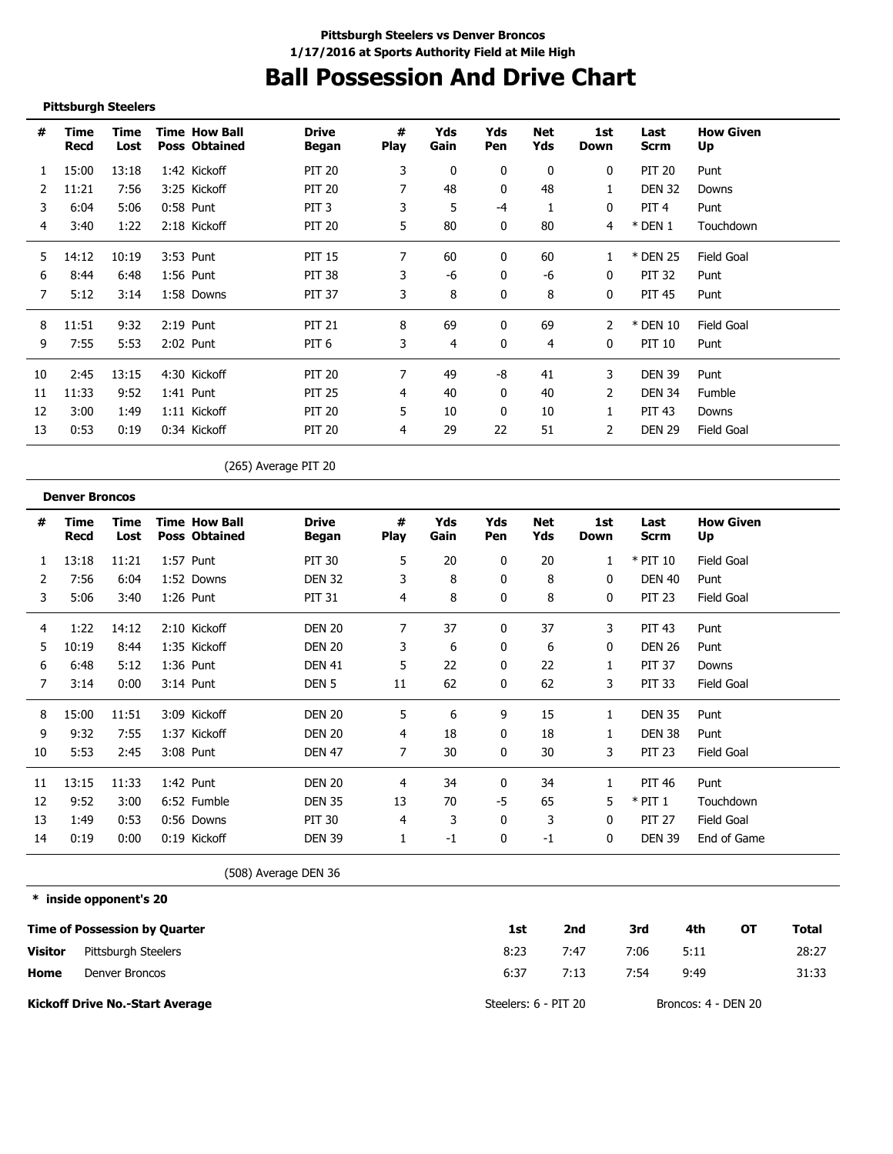### **Ball Possession And Drive Chart**

#### **Pittsburgh Steelers**

| #  | Time<br>Recd | Time<br>Lost | <b>Time How Ball</b><br><b>Poss Obtained</b> | <b>Drive</b><br>Began | #<br><b>Play</b> | Yds<br>Gain  | Yds<br>Pen | Net<br>Yds | 1st<br>Down  | Last<br>Scrm     | <b>How Given</b><br>Up |
|----|--------------|--------------|----------------------------------------------|-----------------------|------------------|--------------|------------|------------|--------------|------------------|------------------------|
|    | 15:00        | 13:18        | 1:42 Kickoff                                 | <b>PIT 20</b>         | 3                | $\mathbf{0}$ | 0          | 0          | $\mathbf{0}$ | <b>PIT 20</b>    | Punt                   |
| 2  | 11:21        | 7:56         | 3:25 Kickoff                                 | <b>PIT 20</b>         |                  | 48           | 0          | 48         | 1            | <b>DEN 32</b>    | Downs                  |
| 3  | 6:04         | 5:06         | 0:58 Punt                                    | PIT <sub>3</sub>      | 3                | 5            | -4         |            | $\mathbf{0}$ | PIT <sub>4</sub> | Punt                   |
| 4  | 3:40         | 1:22         | 2:18 Kickoff                                 | <b>PIT 20</b>         | 5                | 80           | $\Omega$   | 80         | 4            | $*$ DEN 1        | Touchdown              |
| 5  | 14:12        | 10:19        | 3:53 Punt                                    | <b>PIT 15</b>         | 7                | 60           | 0          | 60         |              | * DEN 25         | Field Goal             |
| 6  | 8:44         | 6:48         | 1:56 Punt                                    | <b>PIT 38</b>         | 3                | -6           | 0          | -6         | 0            | PIT 32           | Punt                   |
|    | 5:12         | 3:14         | 1:58 Downs                                   | <b>PIT 37</b>         | 3                | 8            | 0          | 8          | 0            | <b>PIT 45</b>    | Punt                   |
| 8  | 11:51        | 9:32         | $2:19$ Punt                                  | <b>PIT 21</b>         | 8                | 69           |            | 69         |              | * DEN 10         | Field Goal             |
| 9  | 7:55         | 5:53         | 2:02 Punt                                    | PIT 6                 | 3                | 4            | 0          | 4          | $\mathbf{0}$ | <b>PIT 10</b>    | Punt                   |
| 10 | 2:45         | 13:15        | 4:30 Kickoff                                 | <b>PIT 20</b>         | 7                | 49           | -8         | 41         | 3            | DEN 39           | Punt                   |
| 11 | 11:33        | 9:52         | 1:41 Punt                                    | <b>PIT 25</b>         | 4                | 40           | $\Omega$   | 40         | 2            | DEN 34           | Fumble                 |
| 12 | 3:00         | 1:49         | 1:11 Kickoff                                 | <b>PIT 20</b>         | 5.               | 10           | $\Omega$   | 10         |              | PIT 43           | Downs                  |
| 13 | 0:53         | 0:19         | 0:34 Kickoff                                 | <b>PIT 20</b>         | 4                | 29           | 22         | 51         | 2            | <b>DEN 29</b>    | <b>Field Goal</b>      |

(265) Average PIT 20

|    | <b>Denver Broncos</b> |              |                                              |                       |                  |             |              |            |             |               |                        |
|----|-----------------------|--------------|----------------------------------------------|-----------------------|------------------|-------------|--------------|------------|-------------|---------------|------------------------|
| #  | Time<br>Recd          | Time<br>Lost | <b>Time How Ball</b><br><b>Poss Obtained</b> | <b>Drive</b><br>Began | #<br><b>Play</b> | Yds<br>Gain | Yds<br>Pen   | Net<br>Yds | 1st<br>Down | Last<br>Scrm  | <b>How Given</b><br>Up |
|    | 13:18                 | 11:21        | 1:57 Punt                                    | <b>PIT 30</b>         | 5                | 20          | $\mathbf{0}$ | 20         |             | $*$ PIT 10    | Field Goal             |
|    | 7:56                  | 6:04         | 1:52 Downs                                   | <b>DEN 32</b>         | 3                | 8           | 0            | 8          | 0           | <b>DEN 40</b> | Punt                   |
| 3  | 5:06                  | 3:40         | 1:26 Punt                                    | <b>PIT 31</b>         | 4                | 8           | 0            | 8          | 0           | <b>PIT 23</b> | Field Goal             |
| 4  | 1:22                  | 14:12        | 2:10 Kickoff                                 | <b>DEN 20</b>         | 7                | 37          | 0            | 37         | 3           | <b>PIT 43</b> | Punt                   |
| 5  | 10:19                 | 8:44         | 1:35 Kickoff                                 | <b>DEN 20</b>         | 3                | 6           | 0            | 6          | 0           | <b>DEN 26</b> | Punt                   |
| 6  | 6:48                  | 5:12         | $1:36$ Punt                                  | <b>DEN 41</b>         | 5                | 22          | 0            | 22         |             | <b>PIT 37</b> | Downs                  |
|    | 3:14                  | 0:00         | 3:14 Punt                                    | DEN <sub>5</sub>      | 11               | 62          | 0            | 62         | 3           | <b>PIT 33</b> | Field Goal             |
| 8  | 15:00                 | 11:51        | 3:09 Kickoff                                 | <b>DEN 20</b>         | 5                | 6           | 9            | 15         |             | <b>DEN 35</b> | Punt                   |
| 9  | 9:32                  | 7:55         | 1:37 Kickoff                                 | <b>DEN 20</b>         | 4                | 18          | 0            | 18         |             | <b>DEN 38</b> | Punt                   |
| 10 | 5:53                  | 2:45         | 3:08 Punt                                    | <b>DEN 47</b>         | 7                | 30          | 0            | 30         | 3           | <b>PIT 23</b> | Field Goal             |
| 11 | 13:15                 | 11:33        | 1:42 Punt                                    | <b>DEN 20</b>         | 4                | 34          | 0            | 34         |             | PIT 46        | Punt                   |
| 12 | 9:52                  | 3:00         | 6:52 Fumble                                  | <b>DEN 35</b>         | 13               | 70          | -5           | 65         | 5           | $*$ PIT 1     | Touchdown              |
| 13 | 1:49                  | 0:53         | 0:56 Downs                                   | PIT 30                | 4                | 3           | 0            | 3          | $\Omega$    | <b>PIT 27</b> | Field Goal             |
| 14 | 0:19                  | 0:00         | 0:19 Kickoff                                 | <b>DEN 39</b>         |                  | -1          | 0            | $-1$       | 0           | <b>DEN 39</b> | End of Game            |

(508) Average DEN 36

**\* inside opponent's 20**

|                | <b>Time of Possession by Quarter</b> | 1st                  | 2nd  | 3rd  | 4th                 | ΟТ | Total |
|----------------|--------------------------------------|----------------------|------|------|---------------------|----|-------|
| <b>Visitor</b> | Pittsburgh Steelers                  | 8:23                 | 7:47 | 7:06 | 5:11                |    | 28:27 |
| Home           | Denver Broncos                       | 6:37                 | 7:13 | 7:54 | 9:49                |    | 31:33 |
|                | Kickoff Drive No.-Start Average      | Steelers: 6 - PIT 20 |      |      | Broncos: 4 - DEN 20 |    |       |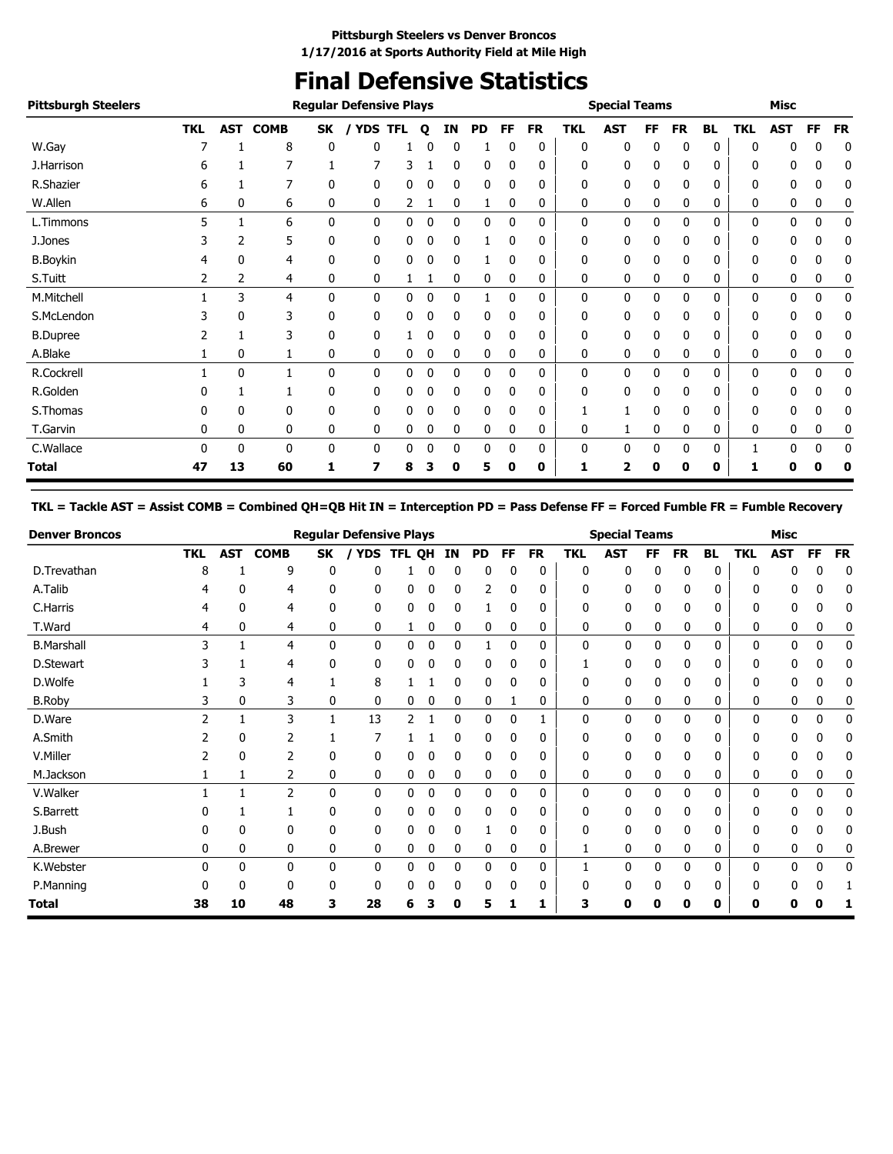### **Final Defensive Statistics**

| <b>Pittsburgh Steelers</b> |            |     |              |    | <b>Regular Defensive Plays</b> |            |   |              |           |              |           |            | <b>Special Teams</b> |           |           |           |              | Misc       |             |           |
|----------------------------|------------|-----|--------------|----|--------------------------------|------------|---|--------------|-----------|--------------|-----------|------------|----------------------|-----------|-----------|-----------|--------------|------------|-------------|-----------|
|                            | <b>TKL</b> | AST | <b>COMB</b>  | SK | <b>YDS</b>                     | <b>TFL</b> | Q | <b>IN</b>    | <b>PD</b> | FF           | <b>FR</b> | <b>TKL</b> | <b>AST</b>           | <b>FF</b> | <b>FR</b> | <b>BL</b> | <b>TKL</b>   | <b>AST</b> | <b>FF</b>   | <b>FR</b> |
| W.Gay                      |            |     | 8            | 0  | 0                              |            |   | 0            |           | 0            | 0         | 0          | 0                    | 0         | 0         | 0         | 0            | 0          | 0           | 0         |
| J.Harrison                 | b          |     |              |    |                                | 3          |   | 0            | 0         | 0            | 0         | 0          | 0                    |           | 0         | 0         | 0            | 0          | 0           | 0         |
| R.Shazier                  | b          |     |              | 0  | 0                              | 0          |   | 0            | 0         |              | 0         | 0          | 0                    |           | 0         | 0         | 0            | 0          | 0           | C         |
| W.Allen                    | 6          | 0   | 6            | 0  | 0                              | 2          |   | 0            | 1         | 0            | 0         | 0          | 0                    | 0         | 0         | 0         | 0            | 0          | 0           | 0         |
| L.Timmons                  | 5          |     | 6            | 0  | 0                              | 0          | 0 | 0            | 0         | $\mathbf{0}$ | 0         | 0          | 0                    | 0         | 0         | 0         | 0            | 0          | 0           | 0         |
| J.Jones                    |            | 2   | 5            | 0  | 0                              | 0          | 0 | 0            |           | 0            | 0         | 0          | 0                    | 0         | 0         | 0         | 0            | 0          | 0           | 0         |
| <b>B.Boykin</b>            |            | 0   | 4            | 0  | 0                              | 0          | 0 | 0            |           | 0            | 0         | 0          | 0                    | 0         | 0         | 0         | 0            | 0          | 0           | 0         |
| S.Tuitt                    |            | 2   | 4            | 0  | 0                              |            |   | 0            | 0         | 0            | 0         | 0          | 0                    | 0         | 0         | 0         | 0            | 0          | 0           | 0         |
| M.Mitchell                 |            | 3   | 4            | 0  | 0                              | 0          | 0 | 0            |           | 0            | 0         | 0          | 0                    | 0         | 0         | 0         | 0            | 0          | 0           | 0         |
| S.McLendon                 |            | 0   | 3            | 0  | 0                              | 0          | 0 | $\mathbf{0}$ | 0         | 0            | 0         | 0          | 0                    | 0         | 0         | 0         | $\mathbf{0}$ | 0          | 0           | 0         |
| <b>B.Dupree</b>            |            |     | 3            | 0  | 0                              |            | 0 | 0            | 0         | 0            | 0         | 0          | 0                    | 0         | 0         | 0         | 0            | 0          | 0           | 0         |
| A.Blake                    |            | 0   |              | 0  | 0                              | 0          | 0 | 0            | 0         | 0            | 0         | 0          | 0                    | 0         | 0         | 0         | 0            | 0          | 0           | 0         |
| R.Cockrell                 |            | 0   |              | 0  | 0                              | 0          | 0 | 0            | 0         | 0            | 0         | 0          | 0                    | 0         | 0         | 0         | 0            | 0          | 0           | 0         |
| R.Golden                   |            |     |              | 0  | 0                              | 0          | n | 0            | 0         | O            | 0         | 0          | 0                    |           | 0         | 0         | 0            | 0          | 0           | 0         |
| S.Thomas                   |            | 0   | 0            | 0  | 0                              | 0          | 0 | 0            | 0         | 0            | 0         |            |                      | 0         | 0         | 0         | 0            | 0          | 0           | 0         |
| T.Garvin                   | 0          | 0   | 0            | 0  | 0                              | 0          | 0 | 0            | 0         | 0            | 0         | 0          |                      | 0         | 0         | 0         | 0            | 0          | 0           | 0         |
| C.Wallace                  | 0          | 0   | $\mathbf{0}$ | 0  | 0                              | 0          | 0 | 0            | 0         | $\mathbf{0}$ | 0         | 0          | 0                    | 0         | 0         | 0         |              | 0          | $\mathbf 0$ | 0         |
| <b>Total</b>               | 47         | 13  | 60           |    |                                | 8          |   | 0            | 5         | 0            | 0         |            | 2                    | 0         | 0         | 0         |              | 0          |             |           |

#### **TKL = Tackle AST = Assist COMB = Combined QH=QB Hit IN = Interception PD = Pass Defense FF = Forced Fumble FR = Fumble Recovery**

| <b>Denver Broncos</b> |            |            |              |              | <b>Regular Defensive Plays</b> |              |    |    |              |    |           |            | <b>Special Teams</b> |           |              |           |            | <b>Misc</b>  |           |           |
|-----------------------|------------|------------|--------------|--------------|--------------------------------|--------------|----|----|--------------|----|-----------|------------|----------------------|-----------|--------------|-----------|------------|--------------|-----------|-----------|
|                       | <b>TKL</b> | <b>AST</b> | <b>COMB</b>  | SK           | YDS                            | <b>TFL</b>   | QH | IN | PD           | FF | <b>FR</b> | <b>TKL</b> | <b>AST</b>           | <b>FF</b> | <b>FR</b>    | <b>BL</b> | <b>TKL</b> | <b>AST</b>   | <b>FF</b> | <b>FR</b> |
| D.Trevathan           | 8          |            | 9            | 0            | 0                              |              | 0  | 0  | 0            | 0  | 0         | 0          | 0                    | 0         | 0            | 0         | 0          |              | 0         | 0         |
| A.Talib               |            | 0          | 4            | 0            | 0                              | 0            | 0  | 0  | 2            | 0  | 0         | 0          | 0                    | 0         | 0            | 0         | 0          |              |           | 0         |
| C.Harris              | 4          | 0          | 4            | 0            | 0                              | 0            | 0  | 0  |              | 0  | 0         | 0          | 0                    | 0         | 0            | 0         | ŋ          | 0            |           | 0         |
| T.Ward                | 4          | 0          | 4            | 0            | 0                              |              | 0  | 0  | 0            | 0  | 0         | 0          | 0                    | 0         | 0            | 0         | 0          | 0            | 0         | 0         |
| <b>B.Marshall</b>     | 3          |            | 4            | $\mathbf{0}$ | 0                              | 0            | 0  | 0  |              | 0  | 0         | 0          | $\mathbf{0}$         | 0         | $\mathbf{0}$ | 0         | 0          | $\mathbf{0}$ | 0         | 0         |
| D.Stewart             |            |            | 4            | 0            | 0                              | 0            | 0  | 0  | 0            | 0  | 0         |            | 0                    | 0         | 0            | 0         | 0          |              |           |           |
| D.Wolfe               |            | 3          | 4            |              | 8                              |              |    | 0  | 0            | 0  | 0         | 0          | 0                    | 0         | 0            | 0         | n          |              |           | 0         |
| <b>B.Roby</b>         | 3          | 0          | 3            | 0            | 0                              | $\mathbf{0}$ | 0  | 0  | 0            |    | 0         | 0          | 0                    | 0         | 0            | 0         | 0          | 0            | 0         | 0         |
| D.Ware                |            |            | 3            | 1            | 13                             | 2            |    | 0  | 0            | 0  |           | 0          | $\mathbf{0}$         | 0         | 0            | 0         | 0          | 0            | 0         | 0         |
| A.Smith               |            | 0          | 2            |              |                                |              |    | 0  | 0            | 0  | 0         | 0          | 0                    | 0         | 0            | 0         | O          | 0            |           | 0         |
| V.Miller              |            | 0          | 2            | 0            | 0                              |              | 0  | 0  | 0            | 0  | 0         | 0          | 0                    | 0         | 0            | 0         | 0          |              | 0         |           |
| M.Jackson             |            |            | 2            | 0            | 0                              | 0            | 0  | 0  | 0            | 0  | 0         | 0          | 0                    | 0         | 0            | 0         | 0          | 0            | 0         | 0         |
| V.Walker              |            |            | 2            | $\mathbf{0}$ | 0                              | 0            | 0  | 0  | 0            | 0  | 0         | 0          | 0                    | 0         | $\mathbf{0}$ | 0         | 0          | $\mathbf{0}$ | 0         | 0         |
| S.Barrett             |            |            |              | 0            | 0                              | 0            | 0  | 0  | 0            | 0  | 0         | 0          | 0                    | 0         | 0            | 0         | 0          | 0            | 0         | 0         |
| J.Bush                |            | 0          | 0            | 0            | 0                              | 0            | 0  | 0  |              | 0  | 0         | 0          | 0                    | 0         | 0            | 0         | 0          | 0            | 0         |           |
| A.Brewer              | 0          | 0          | 0            | 0            | 0                              | 0            | 0  | 0  | 0            | 0  | 0         |            | 0                    | 0         | 0            | 0         | 0          | 0            | 0         | 0         |
| K.Webster             | 0          | 0          | $\mathbf{0}$ | 0            | $\mathbf{0}$                   | $\mathbf{0}$ | 0  | 0  | $\mathbf{0}$ | 0  | 0         |            | $\mathbf{0}$         | 0         | 0            | 0         | 0          | 0            | 0         | 0         |
| P.Manning             | n          | 0          | $\Omega$     | 0            | 0                              | 0            | 0  | 0  | 0            | 0  | 0         | 0          | 0                    | 0         | 0            | 0         | C          | n            |           |           |
| Total                 | 38         | 10         | 48           | 3            | 28                             | 6            | 3  | 0  | 5            |    | 1         | з          | 0                    | 0         | 0            | 0         | 0          | 0            |           |           |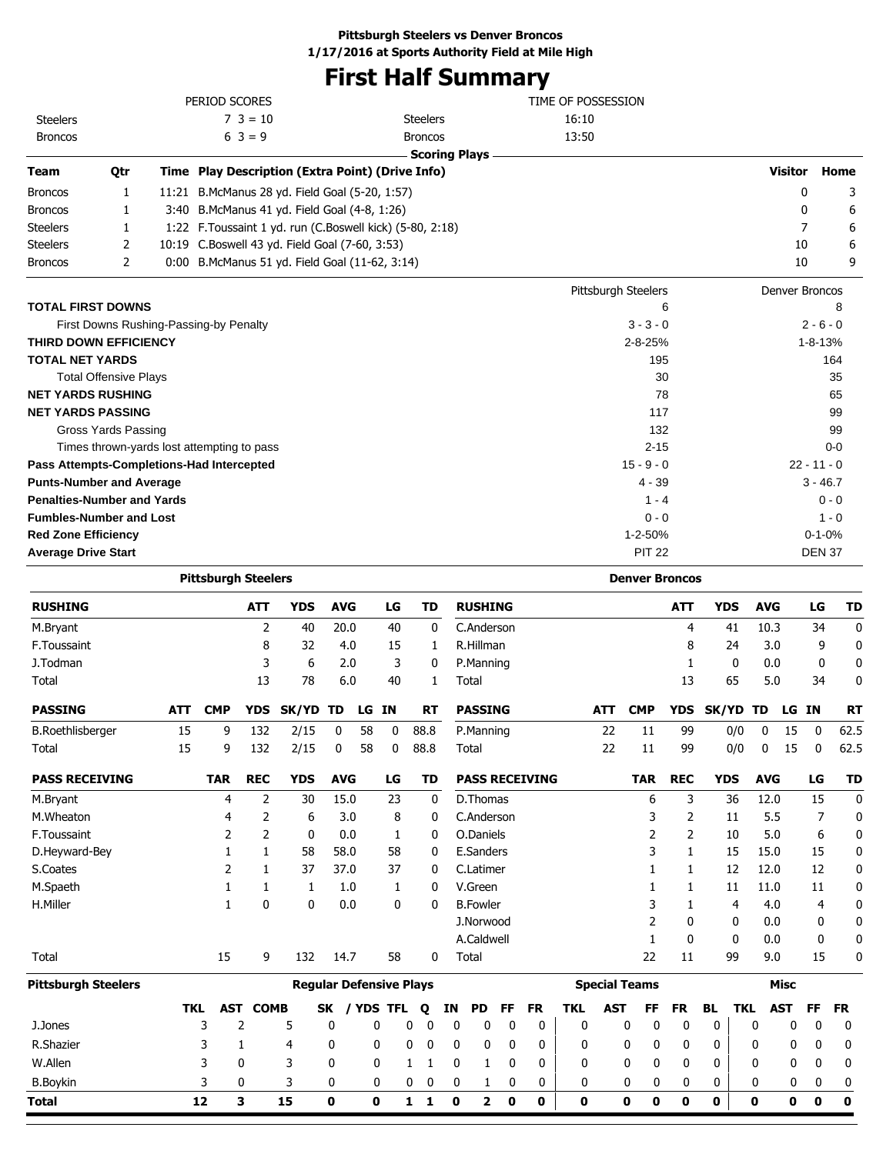## **First Half Summary**

|                                            |     | PERIOD SCORES                                              |                 |                                |            |       |              |                              |             |                         |             |           | TIME OF POSSESSION |            |                            |            |            |             |                |               |                     |
|--------------------------------------------|-----|------------------------------------------------------------|-----------------|--------------------------------|------------|-------|--------------|------------------------------|-------------|-------------------------|-------------|-----------|--------------------|------------|----------------------------|------------|------------|-------------|----------------|---------------|---------------------|
| <b>Steelers</b>                            |     |                                                            | $7 \t3 = 10$    |                                |            |       |              | <b>Steelers</b>              |             |                         |             |           | 16:10              |            |                            |            |            |             |                |               |                     |
| <b>Broncos</b>                             |     |                                                            | $6 \ 3 = 9$     |                                |            |       |              | <b>Broncos</b>               |             |                         |             |           | 13:50              |            |                            |            |            |             |                |               |                     |
|                                            |     |                                                            |                 |                                |            |       |              | <b>Scoring Plays</b>         |             |                         |             |           |                    |            |                            |            |            |             |                |               |                     |
| Team<br>Qtr                                |     | Time Play Description (Extra Point) (Drive Info)           |                 |                                |            |       |              |                              |             |                         |             |           |                    |            |                            |            |            |             |                |               | <b>Visitor Home</b> |
| <b>Broncos</b><br>1                        |     | 11:21 B.McManus 28 yd. Field Goal (5-20, 1:57)             |                 |                                |            |       |              |                              |             |                         |             |           |                    |            |                            |            |            |             |                | 0             | 3                   |
| <b>Broncos</b><br>1                        |     | 3:40 B.McManus 41 yd. Field Goal (4-8, 1:26)               |                 |                                |            |       |              |                              |             |                         |             |           |                    |            |                            |            |            |             |                | 0             | 6                   |
| <b>Steelers</b><br>1                       |     | 1:22 F. Toussaint 1 yd. run (C. Boswell kick) (5-80, 2:18) |                 |                                |            |       |              |                              |             |                         |             |           |                    |            |                            |            |            |             |                | 7             | 6                   |
| 2<br><b>Steelers</b>                       |     | 10:19 C.Boswell 43 yd. Field Goal (7-60, 3:53)             |                 |                                |            |       |              |                              |             |                         |             |           |                    |            |                            |            |            |             |                | 10            | 6                   |
| <b>Broncos</b><br>2                        |     | 0:00 B.McManus 51 yd. Field Goal (11-62, 3:14)             |                 |                                |            |       |              |                              |             |                         |             |           |                    |            |                            |            |            |             |                | 10            | 9                   |
|                                            |     |                                                            |                 |                                |            |       |              |                              |             |                         |             |           |                    |            | Pittsburgh Steelers        |            |            |             | Denver Broncos |               |                     |
| <b>TOTAL FIRST DOWNS</b>                   |     |                                                            |                 |                                |            |       |              |                              |             |                         |             |           |                    |            |                            | 6          |            |             |                |               | 8                   |
| First Downs Rushing-Passing-by Penalty     |     |                                                            |                 |                                |            |       |              |                              |             |                         |             |           |                    |            | $3 - 3 - 0$                |            |            |             |                | $2 - 6 - 0$   |                     |
| THIRD DOWN EFFICIENCY                      |     |                                                            |                 |                                |            |       |              |                              |             |                         |             |           |                    |            | $2 - 8 - 25%$              |            |            |             |                | $1 - 8 - 13%$ |                     |
| <b>TOTAL NET YARDS</b>                     |     |                                                            |                 |                                |            |       |              |                              |             |                         |             |           |                    |            | 195                        |            |            |             |                |               | 164                 |
| <b>Total Offensive Plays</b>               |     |                                                            |                 |                                |            |       |              |                              |             |                         |             |           |                    |            |                            | 30         |            |             |                |               | 35                  |
| <b>NET YARDS RUSHING</b>                   |     |                                                            |                 |                                |            |       |              |                              |             |                         |             |           |                    |            |                            | 78         |            |             |                |               | 65                  |
| <b>NET YARDS PASSING</b>                   |     |                                                            |                 |                                |            |       |              |                              |             |                         |             |           |                    |            | 117                        |            |            |             |                |               | 99                  |
| Gross Yards Passing                        |     |                                                            |                 |                                |            |       |              |                              |             |                         |             |           |                    |            | 132                        |            |            |             |                |               | 99                  |
| Times thrown-yards lost attempting to pass |     |                                                            |                 |                                |            |       |              |                              |             |                         |             |           |                    |            | $2 - 15$                   |            |            |             |                |               | 0-0                 |
| Pass Attempts-Completions-Had Intercepted  |     |                                                            |                 |                                |            |       |              |                              |             |                         |             |           |                    |            | $15 - 9 - 0$               |            |            |             |                | $22 - 11 - 0$ |                     |
| <b>Punts-Number and Average</b>            |     |                                                            |                 |                                |            |       |              |                              |             |                         |             |           |                    |            | 4 - 39                     |            |            |             |                | $3 - 46.7$    |                     |
| <b>Penalties-Number and Yards</b>          |     |                                                            |                 |                                |            |       |              |                              |             |                         |             |           |                    |            | $1 - 4$                    |            |            |             |                |               | $0 - 0$             |
| <b>Fumbles-Number and Lost</b>             |     |                                                            |                 |                                |            |       |              |                              |             |                         |             |           |                    |            | $0 - 0$                    |            |            |             |                |               | $1 - 0$             |
| <b>Red Zone Efficiency</b>                 |     |                                                            |                 |                                |            |       |              |                              |             |                         |             |           |                    |            | 1-2-50%                    |            |            |             |                | $0 - 1 - 0%$  |                     |
| <b>Average Drive Start</b>                 |     |                                                            |                 |                                |            |       |              |                              |             |                         |             |           |                    |            | <b>PIT 22</b>              |            |            |             |                | <b>DEN 37</b> |                     |
|                                            |     | <b>Pittsburgh Steelers</b>                                 |                 |                                |            |       |              |                              |             |                         |             |           |                    |            | <b>Denver Broncos</b>      |            |            |             |                |               |                     |
|                                            |     |                                                            |                 |                                |            |       |              |                              |             |                         |             |           |                    |            |                            |            |            |             |                |               |                     |
| <b>RUSHING</b>                             |     |                                                            | ATT             | <b>YDS</b>                     | <b>AVG</b> |       | LG           | TD                           |             | <b>RUSHING</b>          |             |           |                    |            |                            | ATT        | <b>YDS</b> |             | <b>AVG</b>     | LG            | TD                  |
| M.Bryant                                   |     |                                                            | 2               | 40                             | 20.0       |       | 40           | 0                            |             | C.Anderson              |             |           |                    |            |                            | 4          |            | 41          | 10.3           | 34            | 0                   |
| F.Toussaint                                |     |                                                            | 8               | 32                             | 4.0        |       | 15           | 1                            |             | R.Hillman               |             |           |                    |            |                            | 8          |            | 24          | 3.0            | 9             | 0                   |
| J.Todman                                   |     |                                                            | 3               | 6                              | 2.0        |       | 3            | 0                            |             | P.Manning               |             |           |                    |            |                            | 1          |            | 0           | 0.0            | 0             | 0                   |
| Total                                      |     |                                                            | 13              | 78                             | 6.0        |       | 40           | 1                            |             | Total                   |             |           |                    |            |                            | 13         |            | 65          | 5.0            | 34            | 0                   |
| <b>PASSING</b>                             | ATT | <b>CMP</b>                                                 | YDS             | SK/YD TD                       |            | LG IN |              | RT                           |             | <b>PASSING</b>          |             |           |                    | ATT        | <b>CMP</b>                 | <b>YDS</b> | SK/YD      |             | TD<br>LG       | IN            | <b>RT</b>           |
| <b>B.Roethlisberger</b>                    | 15  | 9                                                          | 132             | 2/15                           | 0          | 58    | 0            | 88.8                         |             | P.Manning               |             |           |                    | 22         | 11                         | 99         |            | 0/0         | 0<br>15        | 0             | 62.5                |
| Total                                      | 15  | q                                                          | 132             | 2/15                           | 0          | 58    | 0            | 88.8                         |             | Total                   |             |           |                    | 22         | 11                         | 99         |            | 0/0         | $\Omega$       | 15 0          | 62.5                |
| <b>PASS RECEIVING</b>                      |     | <b>TAR</b>                                                 | <b>REC</b>      | <b>YDS</b>                     | <b>AVG</b> |       | LG           | TD                           |             | <b>PASS RECEIVING</b>   |             |           |                    |            | <b>TAR</b>                 | <b>REC</b> | <b>YDS</b> |             | <b>AVG</b>     | LG            | <b>TD</b>           |
| M.Bryant                                   |     | 4                                                          | 2               | 30                             | 15.0       |       | 23           | 0                            |             | D.Thomas                |             |           |                    |            | 6                          | 3          |            | 36          | 12.0           | 15            | 0                   |
| M.Wheaton                                  |     | 4                                                          | 2               | 6                              | 3.0        |       | 8            | 0                            |             | C.Anderson              |             |           |                    |            | 3                          | 2          |            | 11          | 5.5            | 7             | 0                   |
| F.Toussaint                                |     | 2                                                          | 2               | 0                              | 0.0        |       | 1            | 0                            |             | O.Daniels               |             |           |                    |            | 2                          | 2          |            | 10          | 5.0            | 6             | 0                   |
| D.Heyward-Bey                              |     | 1                                                          | 1               | 58                             | 58.0       |       | 58           | 0                            |             | E.Sanders               |             |           |                    |            | 3                          | 1          |            | 15          | 15.0           | 15            | 0                   |
| S.Coates                                   |     | 2                                                          | 1               | 37                             | 37.0       |       | 37           | 0                            |             | C.Latimer               |             |           |                    |            | 1                          | 1          |            | 12          | 12.0           | 12            | 0                   |
| M.Spaeth                                   |     | 1                                                          | 1               | 1                              | 1.0        |       | 1            | 0                            |             | V.Green                 |             |           |                    |            | 1                          | 1          |            | 11          | 11.0           | 11            | 0                   |
| H.Miller                                   |     | 1                                                          | 0               | 0                              | 0.0        |       | 0            | 0                            |             | <b>B.Fowler</b>         |             |           |                    |            | 3                          | 1          |            | 4           | 4.0            | 4             | 0                   |
|                                            |     |                                                            |                 |                                |            |       |              |                              |             | J.Norwood               |             |           |                    |            | 2                          | 0          |            | 0           | 0.0            | 0             | 0                   |
|                                            |     |                                                            |                 |                                |            |       |              |                              |             | A.Caldwell              |             |           |                    |            | 1                          | 0          |            | 0           | 0.0            | 0             | 0                   |
| Total                                      |     | 15                                                         | 9               | 132                            | 14.7       |       | 58           | 0                            |             | Total                   |             |           |                    |            | 22                         | 11         |            | 99          | 9.0            | 15            | 0                   |
| <b>Pittsburgh Steelers</b>                 |     |                                                            |                 | <b>Regular Defensive Plays</b> |            |       |              |                              |             |                         |             |           |                    |            | <b>Special Teams</b>       |            |            |             | <b>Misc</b>    |               |                     |
|                                            | TKL |                                                            | <b>AST COMB</b> |                                |            |       | SK / YDS TFL | Q                            | ΙN          | PD                      | FF          | <b>FR</b> | <b>TKL</b>         | <b>AST</b> | FF                         | FR         | <b>BL</b>  | <b>TKL</b>  | <b>AST</b>     | FF            | <b>FR</b>           |
| J.Jones                                    |     | 3<br>2                                                     |                 | 5                              | 0          |       | 0            | 0<br>0                       | 0           | 0                       | 0           | 0         | 0                  |            | 0<br>0                     | 0          | 0          | 0           | 0              | 0             | 0                   |
| R.Shazier                                  |     | 3<br>1                                                     |                 | 4                              | 0          | 0     |              | 0<br>0                       | 0           | 0                       | 0           | 0         | 0                  |            | 0<br>0                     | 0          | 0          | 0           | 0              | 0             | 0                   |
| W.Allen                                    |     | 3<br>0                                                     |                 | 3                              | 0          | 0     |              | 1<br>1                       | 0           | 1                       | 0           | 0         | 0                  |            | 0<br>0                     | 0          | 0          | 0           | 0              | 0             | 0                   |
| <b>B.Boykin</b>                            |     | 3<br>0                                                     |                 | 3                              | 0          |       | 0            | 0<br>0                       | 0           | 1                       | 0           | 0         | 0                  |            | 0<br>0                     | 0          | 0          | 0           | 0              | 0             | 0                   |
| <b>Total</b>                               |     | 12<br>3                                                    |                 | 15                             | $\pmb{0}$  | 0     |              | $\mathbf{1}$<br>$\mathbf{1}$ | $\mathbf 0$ | $\overline{\mathbf{2}}$ | $\mathbf 0$ | 0         | 0                  |            | $\mathbf 0$<br>$\mathbf 0$ | $\bf{0}$   | 0          | $\mathbf 0$ | $\mathbf 0$    | $\mathbf 0$   | $\mathbf 0$         |
|                                            |     |                                                            |                 |                                |            |       |              |                              |             |                         |             |           |                    |            |                            |            |            |             |                |               |                     |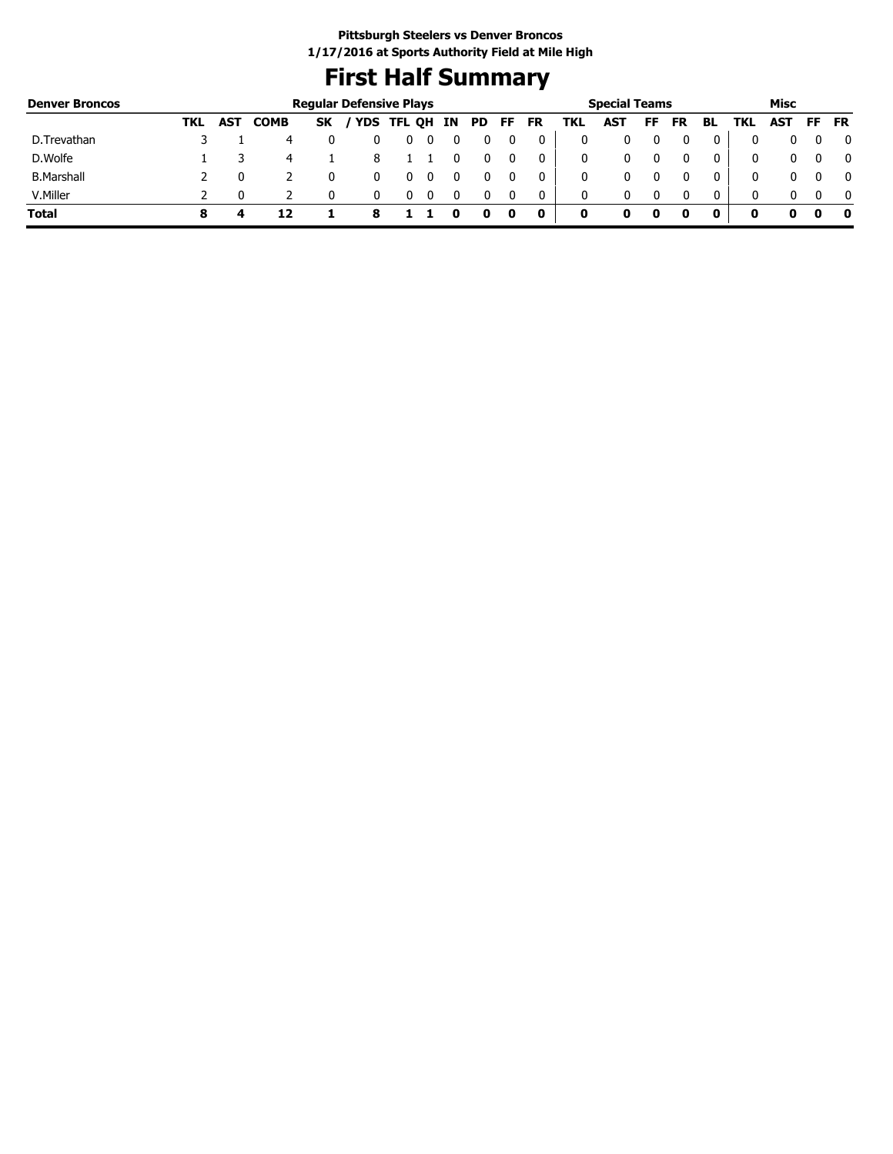### **First Half Summary**

| <b>Denver Broncos</b> |     |     |             | <b>Regular Defensive Plays</b> |            |        |    |     |     |           |     | <b>Special Teams</b> |    |           |    |     | Misc |           |           |
|-----------------------|-----|-----|-------------|--------------------------------|------------|--------|----|-----|-----|-----------|-----|----------------------|----|-----------|----|-----|------|-----------|-----------|
|                       | TKL | AST | <b>COMB</b> | <b>SK</b>                      | <b>YDS</b> | TFL QH | IN | PD. | FF. | <b>FR</b> | TKL | <b>AST</b>           | FF | <b>FR</b> | BL | TKL | AST  | <b>FF</b> | <b>FR</b> |
| D.Trevathan           |     |     |             |                                |            |        |    |     |     |           |     |                      |    |           |    |     |      |           |           |
| D.Wolfe               |     |     | 4           |                                |            |        |    |     |     |           | 0   |                      |    |           |    |     | 0    |           |           |
| <b>B.Marshall</b>     |     |     |             |                                |            |        |    |     |     |           | 0   |                      |    |           |    |     |      |           |           |
| V.Miller              |     |     |             |                                |            |        |    |     |     | 0         | 0   |                      |    |           |    |     | 0    | $\Omega$  |           |
| <b>Total</b>          |     |     |             |                                |            |        |    |     |     | 0         | 0   |                      |    |           | 0  | O   |      | o         |           |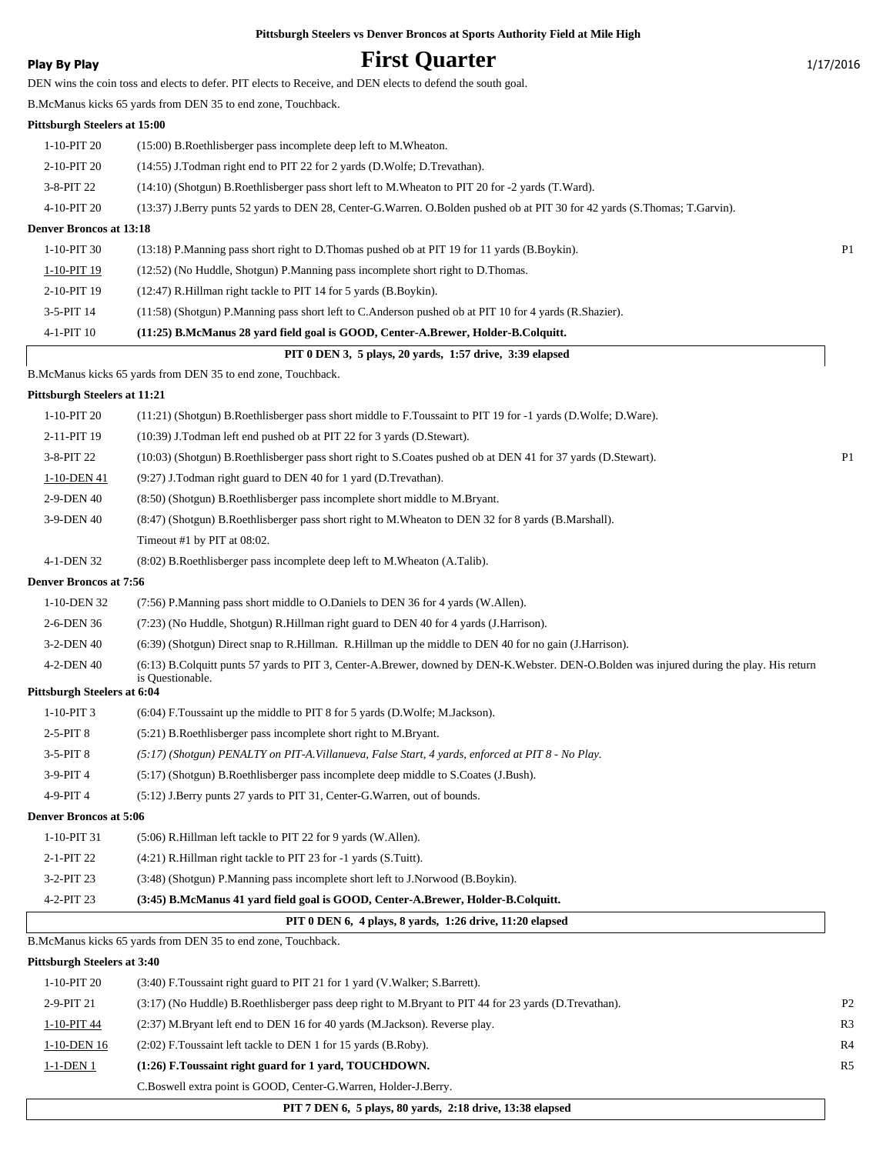### **Play By Play First Quarter** 1/17/2016

DEN wins the coin toss and elects to defer. PIT elects to Receive, and DEN elects to defend the south goal.

B.McManus kicks 65 yards from DEN 35 to end zone, Touchback.

#### **Pittsburgh Steelers at 15:00**

| $1-10-PIT20$                   | $(15:00)$ B. Roethlisberger pass incomplete deep left to M. Wheaton.                                                       |                |
|--------------------------------|----------------------------------------------------------------------------------------------------------------------------|----------------|
| 2-10-PIT 20                    | (14:55) J. Todman right end to PIT 22 for 2 yards (D. Wolfe: D. Trevathan).                                                |                |
| $3-8-PIT$ 22                   | (14:10) (Shotgun) B.Roethlisberger pass short left to M.Wheaton to PIT 20 for -2 yards (T.Ward).                           |                |
| 4-10-PIT 20                    | (13:37) J.Berry punts 52 vards to DEN 28, Center-G.Warren. O.Bolden pushed ob at PIT 30 for 42 yards (S.Thomas; T.Garvin). |                |
| <b>Denver Broncos at 13:18</b> |                                                                                                                            |                |
| $1-10-PIT30$                   | (13:18) P.Manning pass short right to D.Thomas pushed ob at PIT 19 for 11 yards (B.Boykin).                                | P <sub>1</sub> |
| 1-10-PIT 19                    | (12:52) (No Huddle, Shotgun) P.Manning pass incomplete short right to D.Thomas.                                            |                |
| 2-10-PIT 19                    | (12:47) R.Hillman right tackle to PIT 14 for 5 yards (B.Boykin).                                                           |                |
| $3-5-PIT$ 14                   | $(11:58)$ (Shotgun) P.Manning pass short left to C.Anderson pushed ob at PIT 10 for 4 yards (R.Shazier).                   |                |

#### 4-1-PIT 10 **(11:25) B.McManus 28 yard field goal is GOOD, Center-A.Brewer, Holder-B.Colquitt.**

|                              | PIT 0 DEN 3, 5 plays, 20 yards, 1:57 drive, 3:39 elapsed                                                      |  |
|------------------------------|---------------------------------------------------------------------------------------------------------------|--|
|                              | B. McManus kicks 65 yards from DEN 35 to end zone, Touchback.                                                 |  |
| Pittsburgh Steelers at 11:21 |                                                                                                               |  |
| $1-10-PIT20$                 | (11:21) (Shotgun) B.Roethlisberger pass short middle to F.Toussaint to PIT 19 for -1 yards (D.Wolfe; D.Ware). |  |
| 2-11-PIT 19                  | $(10:39)$ J.Todman left end pushed ob at PIT 22 for 3 yards (D.Stewart).                                      |  |
| $3-8-PIT$ 22                 | (10:03) (Shotgun) B.Roethlisberger pass short right to S.Coates pushed ob at DEN 41 for 37 yards (D.Stewart). |  |
| 1-10-DEN 41                  | $(9:27)$ J.Todman right guard to DEN 40 for 1 yard (D.Trevathan).                                             |  |

- 2-9-DEN 40 (8:50) (Shotgun) B.Roethlisberger pass incomplete short middle to M.Bryant.
- 3-9-DEN 40 (8:47) (Shotgun) B.Roethlisberger pass short right to M.Wheaton to DEN 32 for 8 yards (B.Marshall).
	- Timeout #1 by PIT at 08:02.
- 4-1-DEN 32 (8:02) B.Roethlisberger pass incomplete deep left to M.Wheaton (A.Talib).

#### **Denver Broncos at 7:56**

- 1-10-DEN 32 (7:56) P.Manning pass short middle to O.Daniels to DEN 36 for 4 yards (W.Allen).
- 2-6-DEN 36 (7:23) (No Huddle, Shotgun) R.Hillman right guard to DEN 40 for 4 yards (J.Harrison).
	- 3-2-DEN 40 (6:39) (Shotgun) Direct snap to R.Hillman. R.Hillman up the middle to DEN 40 for no gain (J.Harrison).
	- (6:13) B.Colquitt punts 57 yards to PIT 3, Center-A.Brewer, downed by DEN-K.Webster. DEN-O.Bolden was injured during the play. His return is Questionable. 4-2-DEN 40

#### **Pittsburgh Steelers at 6:04**

| $1-10-PIT3$ |  |  | (6:04) F. Toussaint up the middle to PIT 8 for 5 yards (D. Wolfe; M. Jackson). |
|-------------|--|--|--------------------------------------------------------------------------------|
|-------------|--|--|--------------------------------------------------------------------------------|

- 2-5-PIT 8 (5:21) B.Roethlisberger pass incomplete short right to M.Bryant.
- 3-5-PIT 8 *(5:17) (Shotgun) PENALTY on PIT-A.Villanueva, False Start, 4 yards, enforced at PIT 8 No Play.*
- 3-9-PIT 4 (5:17) (Shotgun) B.Roethlisberger pass incomplete deep middle to S.Coates (J.Bush).
- 4-9-PIT 4 (5:12) J.Berry punts 27 yards to PIT 31, Center-G.Warren, out of bounds.

#### **Denver Broncos at 5:06**

1-10-PIT 31 (5:06) R.Hillman left tackle to PIT 22 for 9 yards (W.Allen).

- 2-1-PIT 22 (4:21) R.Hillman right tackle to PIT 23 for -1 yards (S.Tuitt).
	- 3-2-PIT 23 (3:48) (Shotgun) P.Manning pass incomplete short left to J.Norwood (B.Boykin).
	- 4-2-PIT 23 **(3:45) B.McManus 41 yard field goal is GOOD, Center-A.Brewer, Holder-B.Colquitt.**

#### **PIT 0 DEN 6, 4 plays, 8 yards, 1:26 drive, 11:20 elapsed**

B.McManus kicks 65 yards from DEN 35 to end zone, Touchback.

| 1-10-PIT 20 | $(3:40)$ F. Toussaint right guard to PIT 21 for 1 yard (V. Walker; S. Barrett).                       |                |
|-------------|-------------------------------------------------------------------------------------------------------|----------------|
| 2-9-PIT 21  | (3.17) (No Huddle) B.Roethlisberger pass deep right to M.Bryant to PIT 44 for 23 yards (D.Trevathan). | P <sub>2</sub> |
| 1-10-PIT 44 | (2:37) M.Bryant left end to DEN 16 for 40 yards (M.Jackson). Reverse play.                            | R <sub>3</sub> |
| 1-10-DEN 16 | (2:02) F. Toussaint left tackle to DEN 1 for 15 yards (B. Roby).                                      | R <sub>4</sub> |
| 1-1-DEN 1   | (1:26) F.Toussaint right guard for 1 yard, TOUCHDOWN.                                                 | <b>R5</b>      |
|             | C.Boswell extra point is GOOD, Center-G.Warren, Holder-J.Berry.                                       |                |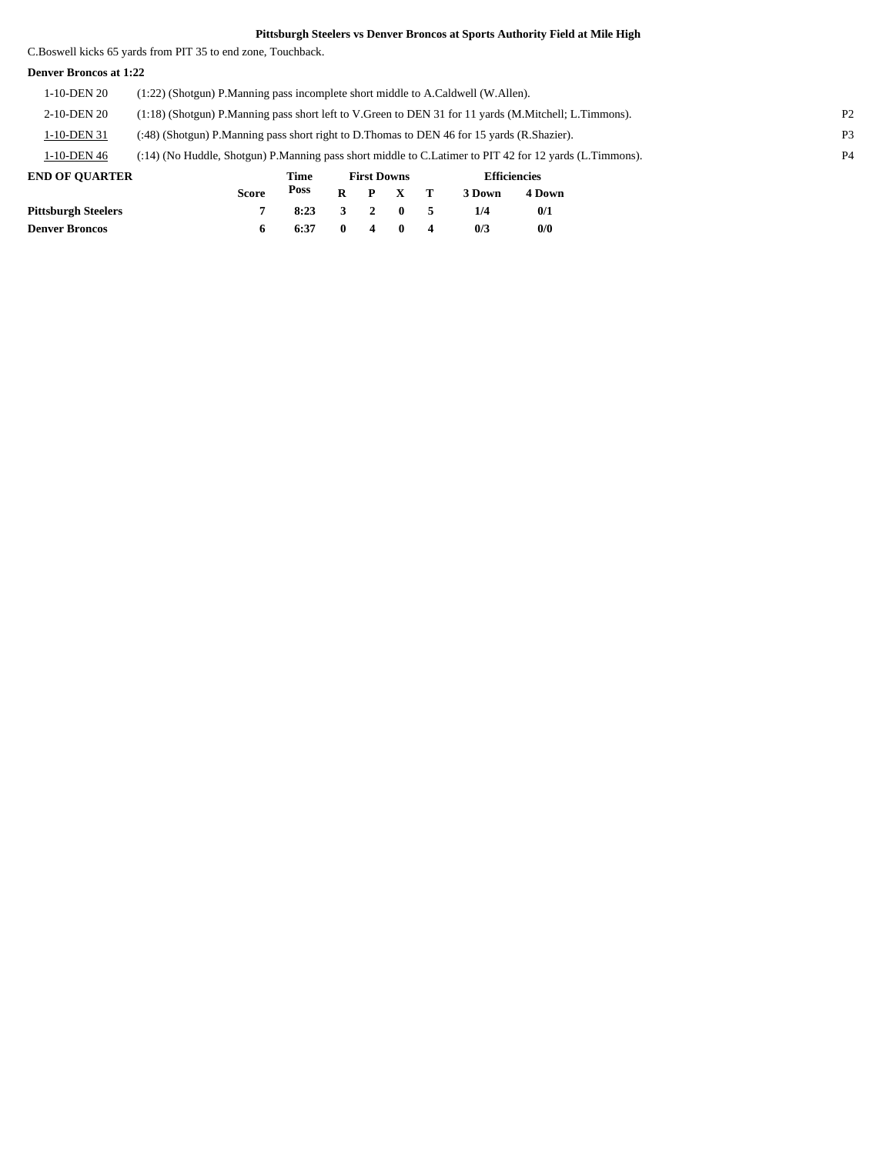C.Boswell kicks 65 yards from PIT 35 to end zone, Touchback.

#### **Denver Broncos at 1:22**

| 1-10-DEN 20                | (1:22) (Shotgun) P.Manning pass incomplete short middle to A.Caldwell (W.Allen).                        |      |   |                    |  |   |                |                     |                |                |
|----------------------------|---------------------------------------------------------------------------------------------------------|------|---|--------------------|--|---|----------------|---------------------|----------------|----------------|
| 2-10-DEN 20                | (1:18) (Shotgun) P.Manning pass short left to V.Green to DEN 31 for 11 yards (M.Mitchell; L.Timmons).   |      |   |                    |  |   |                |                     | P <sub>2</sub> |                |
| 1-10-DEN 31                | (:48) (Shotgun) P. Manning pass short right to D. Thomas to DEN 46 for 15 yards (R. Shazier).           |      |   |                    |  |   | P <sub>3</sub> |                     |                |                |
| 1-10-DEN 46                | (:14) (No Huddle, Shotgun) P.Manning pass short middle to C.Latimer to PIT 42 for 12 yards (L.Timmons). |      |   |                    |  |   |                |                     |                | P <sub>4</sub> |
| <b>END OF OUARTER</b>      |                                                                                                         | Time |   | <b>First Downs</b> |  |   |                | <b>Efficiencies</b> |                |                |
|                            | <b>Score</b>                                                                                            | Poss | R | D                  |  |   | 3 Down         | 4 Down              |                |                |
| <b>Pittsburgh Steelers</b> |                                                                                                         | 8:23 |   |                    |  | 5 | 1/4            | 0/1                 |                |                |

**Denver Broncos 6 6:37 0 4 0 4 0/3 0/0**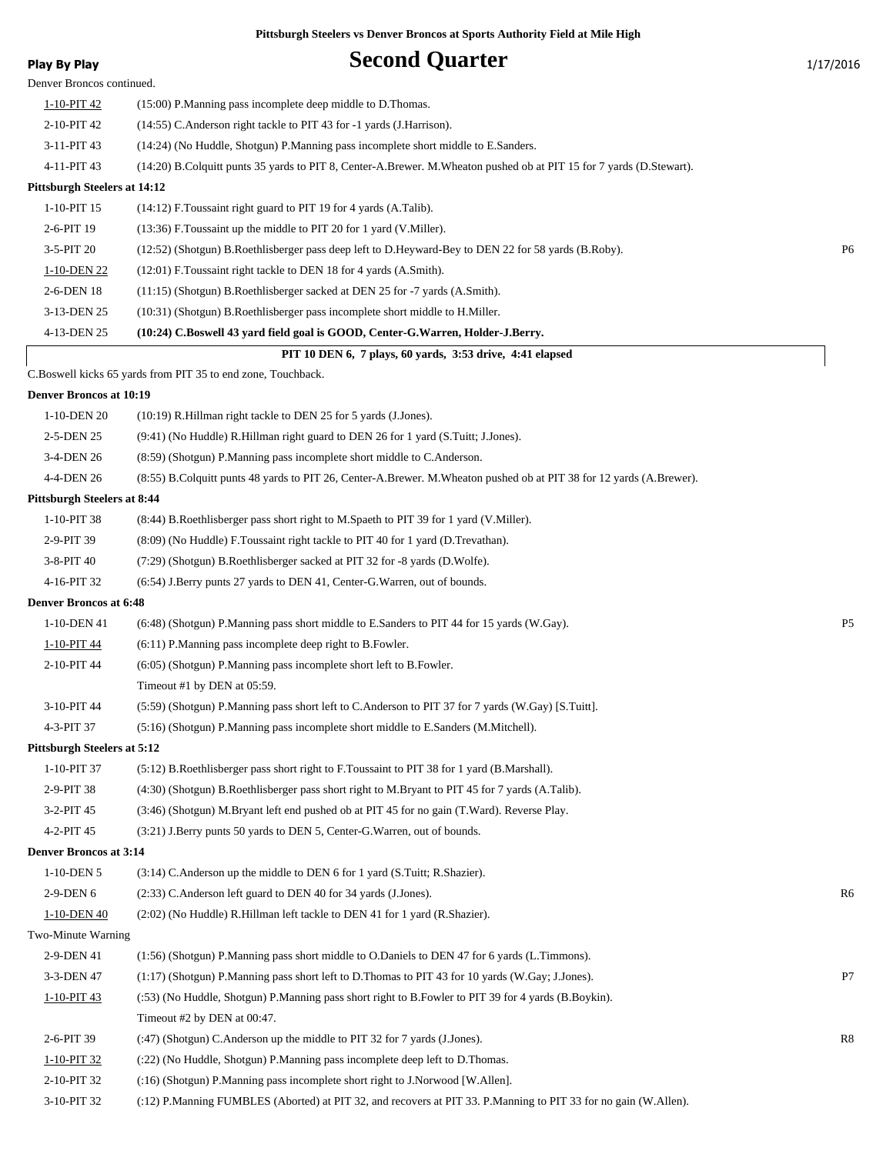Denver Broncos continued.

### **Play By Play Play Play Second Quarter** 1/17/2016

| 1-10-PIT 42                  | (15:00) P.Manning pass incomplete deep middle to D.Thomas.                                                          |                |
|------------------------------|---------------------------------------------------------------------------------------------------------------------|----------------|
| 2-10-PIT 42                  | (14:55) C. Anderson right tackle to PIT 43 for -1 yards (J. Harrison).                                              |                |
| 3-11-PIT 43                  | (14:24) (No Huddle, Shotgun) P. Manning pass incomplete short middle to E. Sanders.                                 |                |
| 4-11-PIT 43                  | (14:20) B.Colquitt punts 35 yards to PIT 8, Center-A.Brewer. M.Wheaton pushed ob at PIT 15 for 7 yards (D.Stewart). |                |
| Pittsburgh Steelers at 14:12 |                                                                                                                     |                |
| $1-10-PIT$ 15                | $(14:12)$ F. Toussaint right guard to PIT 19 for 4 yards $(A.Talib)$ .                                              |                |
| 2-6-PIT 19                   | (13:36) F. Toussaint up the middle to PIT 20 for 1 yard (V. Miller).                                                |                |
| $3-5-PIT20$                  | (12:52) (Shotgun) B.Roethlisberger pass deep left to D.Heyward-Bey to DEN 22 for 58 yards (B.Roby).                 | P <sub>6</sub> |
| 1-10-DEN 22                  | (12:01) F. Toussaint right tackle to DEN 18 for 4 yards (A.Smith).                                                  |                |
| 2-6-DEN 18                   | (11:15) (Shotgun) B.Roethlisberger sacked at DEN 25 for -7 yards (A.Smith).                                         |                |
| $2.12 \times 10^{-1}$        | $(10.01 \times 01 \times 10.00)$ and $(11.1 \times 10^{-10})$                                                       |                |

3-13-DEN 25 (10:31) (Shotgun) B.Roethlisberger pass incomplete short middle to H.Miller.

#### 4-13-DEN 25 **(10:24) C.Boswell 43 yard field goal is GOOD, Center-G.Warren, Holder-J.Berry.**

| PIT 10 DEN 6, 7 plays, 60 yards, 3:53 drive, 4:41 elapsed |  |  |
|-----------------------------------------------------------|--|--|
|                                                           |  |  |

C.Boswell kicks 65 yards from PIT 35 to end zone, Touchback.

#### **Denver Broncos at 10:19**

| 1-10-DEN 20                        | (10:19) R.Hillman right tackle to DEN 25 for 5 yards (J.Jones).                                                     |                |
|------------------------------------|---------------------------------------------------------------------------------------------------------------------|----------------|
| 2-5-DEN 25                         | (9:41) (No Huddle) R.Hillman right guard to DEN 26 for 1 yard (S.Tuitt; J.Jones).                                   |                |
| 3-4-DEN 26                         | (8:59) (Shotgun) P.Manning pass incomplete short middle to C.Anderson.                                              |                |
| 4-4-DEN 26                         | (8.55) B.Colquitt punts 48 yards to PIT 26, Center-A.Brewer. M.Wheaton pushed ob at PIT 38 for 12 yards (A.Brewer). |                |
| <b>Pittsburgh Steelers at 8:44</b> |                                                                                                                     |                |
| 1-10-PIT 38                        | (8.44) B. Roethlisberger pass short right to M. Spaeth to PIT 39 for 1 yard (V. Miller).                            |                |
| 2-9-PIT 39                         | (8:09) (No Huddle) F. Toussaint right tackle to PIT 40 for 1 yard (D. Trevathan).                                   |                |
| 3-8-PIT 40                         | (7:29) (Shotgun) B.Roethlisberger sacked at PIT 32 for -8 yards (D.Wolfe).                                          |                |
| 4-16-PIT 32                        | (6:54) J.Berry punts 27 yards to DEN 41, Center-G.Warren, out of bounds.                                            |                |
| <b>Denver Broncos at 6:48</b>      |                                                                                                                     |                |
| 1-10-DEN 41                        | (6:48) (Shotgun) P.Manning pass short middle to E.Sanders to PIT 44 for 15 yards (W.Gay).                           | P <sub>5</sub> |
| 1-10-PIT 44                        | (6:11) P.Manning pass incomplete deep right to B.Fowler.                                                            |                |
| 2-10-PIT 44                        | (6:05) (Shotgun) P.Manning pass incomplete short left to B.Fowler.                                                  |                |
|                                    | Timeout #1 by DEN at 05:59.                                                                                         |                |
| 3-10-PIT 44                        | (5:59) (Shotgun) P.Manning pass short left to C.Anderson to PIT 37 for 7 yards (W.Gay) [S.Tuitt].                   |                |
| 4-3-PIT 37                         | (5:16) (Shotgun) P.Manning pass incomplete short middle to E.Sanders (M.Mitchell).                                  |                |
| <b>Pittsburgh Steelers at 5:12</b> |                                                                                                                     |                |
| 1-10-PIT 37                        | (5.12) B.Roethlisberger pass short right to F.Toussaint to PIT 38 for 1 yard (B.Marshall).                          |                |
| 2-9-PIT 38                         | (4:30) (Shotgun) B.Roethlisberger pass short right to M.Bryant to PIT 45 for 7 yards (A.Talib).                     |                |
| 3-2-PIT 45                         | (3:46) (Shotgun) M.Bryant left end pushed ob at PIT 45 for no gain (T.Ward). Reverse Play.                          |                |
| 4-2-PIT 45                         | (3:21) J.Berry punts 50 yards to DEN 5, Center-G.Warren, out of bounds.                                             |                |
| <b>Denver Broncos at 3:14</b>      |                                                                                                                     |                |
| 1-10-DEN 5                         | (3:14) C. Anderson up the middle to DEN 6 for 1 yard (S. Tuitt; R. Shazier).                                        |                |
| 2-9-DEN 6                          | (2:33) C.Anderson left guard to DEN 40 for 34 yards (J.Jones).                                                      | R <sub>6</sub> |
| 1-10-DEN 40                        | (2:02) (No Huddle) R. Hillman left tackle to DEN 41 for 1 yard (R. Shazier).                                        |                |
| Two-Minute Warning                 |                                                                                                                     |                |
| 2-9-DEN 41                         | (1:56) (Shotgun) P.Manning pass short middle to O.Daniels to DEN 47 for 6 yards (L.Timmons).                        |                |
| 3-3-DEN 47                         | (1:17) (Shotgun) P.Manning pass short left to D.Thomas to PIT 43 for 10 yards (W.Gay; J.Jones).                     | P7             |
| 1-10-PIT 43                        | (:53) (No Huddle, Shotgun) P.Manning pass short right to B.Fowler to PIT 39 for 4 yards (B.Boykin).                 |                |
|                                    | Timeout #2 by DEN at 00:47.                                                                                         |                |
| 2-6-PIT 39                         | (:47) (Shotgun) C.Anderson up the middle to PIT 32 for 7 yards (J.Jones).                                           | R8             |
| 1-10-PIT 32                        | (:22) (No Huddle, Shotgun) P.Manning pass incomplete deep left to D.Thomas.                                         |                |
| 2-10-PIT 32                        | (:16) (Shotgun) P.Manning pass incomplete short right to J.Norwood [W.Allen].                                       |                |
| 3-10-PIT 32                        | (:12) P.Manning FUMBLES (Aborted) at PIT 32, and recovers at PIT 33. P.Manning to PIT 33 for no gain (W.Allen).     |                |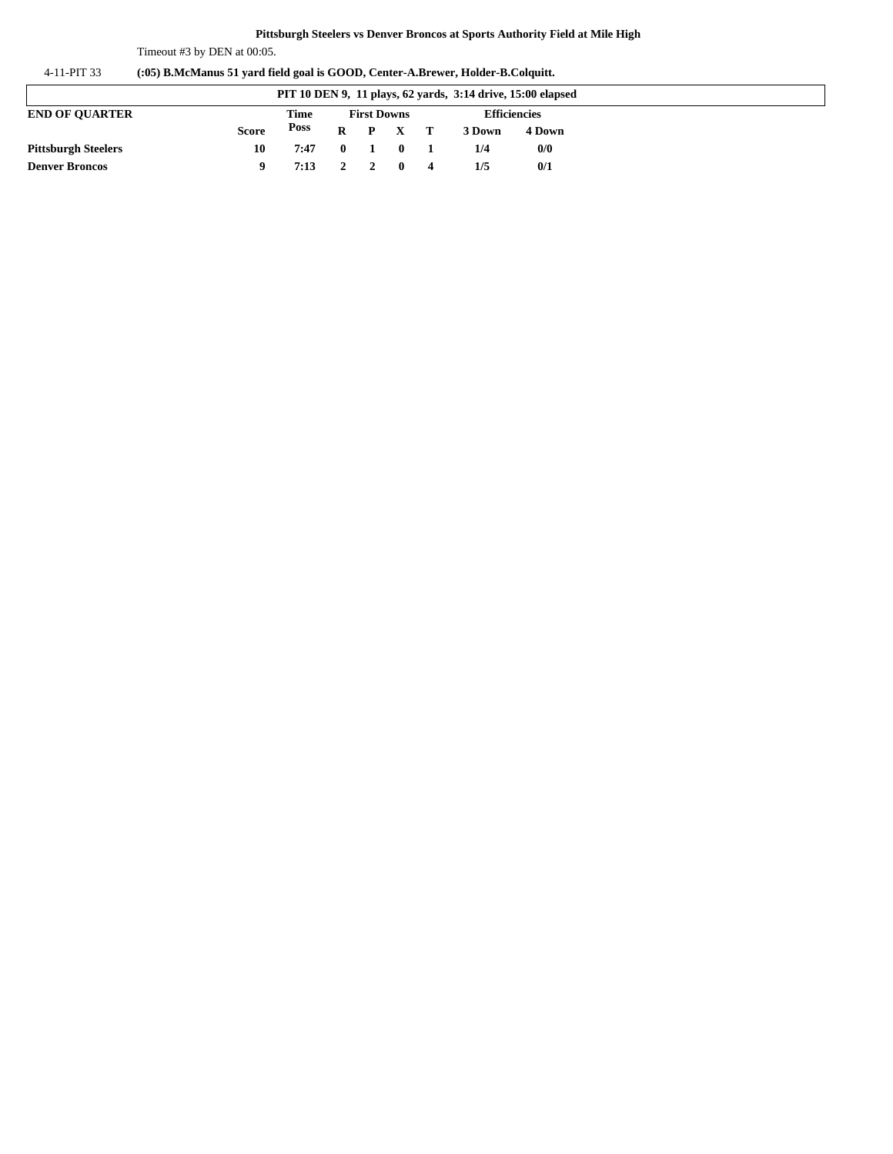Timeout #3 by DEN at 00:05.

| 4-11-PIT 33 | (:05) B.McManus 51 yard field goal is GOOD, Center-A.Brewer, Holder-B.Colquitt. |  |  |
|-------------|---------------------------------------------------------------------------------|--|--|
|             |                                                                                 |  |  |

| PIT 10 DEN 9, 11 plays, 62 yards, 3:14 drive, 15:00 elapsed |       |                    |                                            |  |                 |              |        |        |
|-------------------------------------------------------------|-------|--------------------|--------------------------------------------|--|-----------------|--------------|--------|--------|
| <b>END OF OUARTER</b>                                       | Time  | <b>First Downs</b> |                                            |  |                 | Efficiencies |        |        |
|                                                             | Score | Poss               |                                            |  | $R$ $P$ $X$ $T$ |              | 3 Down | 4 Down |
| <b>Pittsburgh Steelers</b>                                  | 10    | 7:47               | $\begin{array}{ccc} & & 0 & 1 \end{array}$ |  | $\mathbf{0}$    |              | 1/4    | 0/0    |
| <b>Denver Broncos</b>                                       |       | 7:13 2 2 0 4       |                                            |  |                 |              | 1/5    | 0/1    |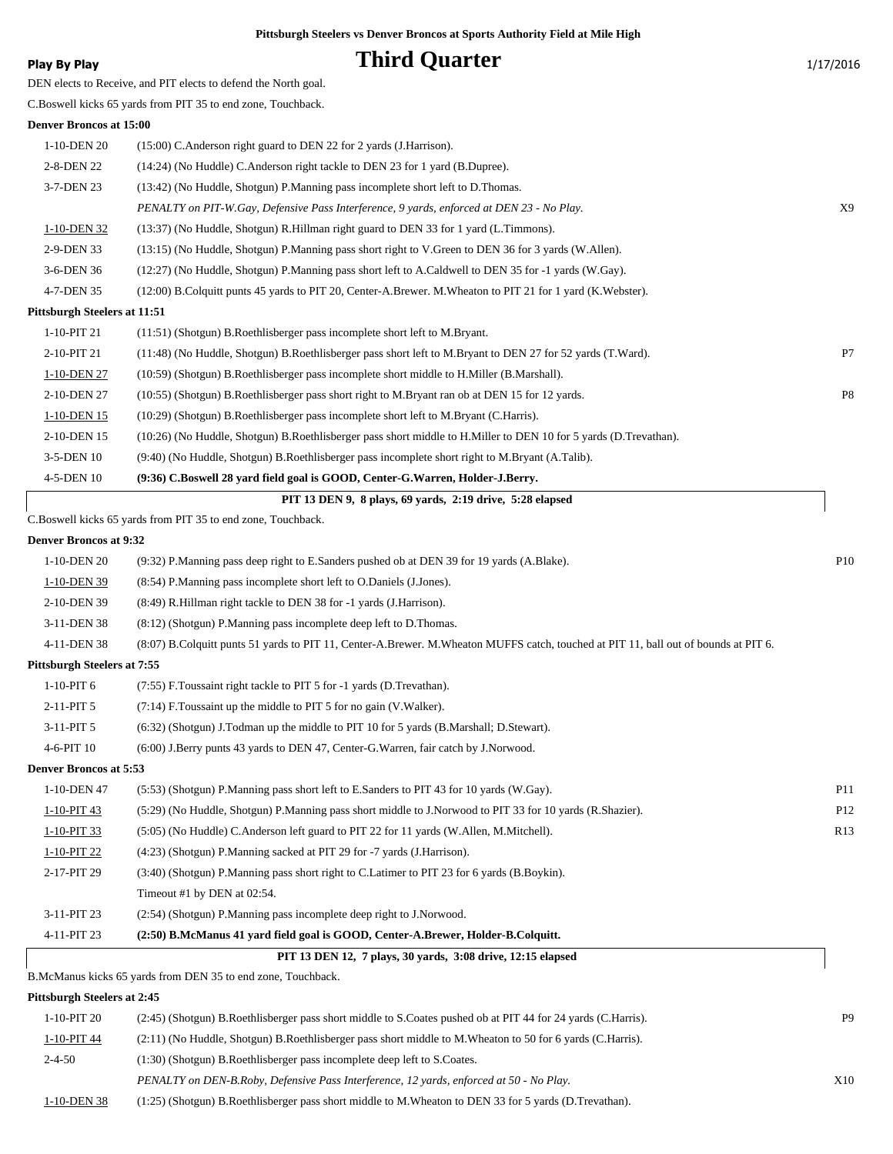### **Play By Play Play Play Play Play By Play Play By Play 1/17/2016**

DEN elects to Receive, and PIT elects to defend the North goal.

C.Boswell kicks 65 yards from PIT 35 to end zone, Touchback.

#### **Denver Broncos at 15:00**

| 1-10-DEN 20                  | (15:00) C. Anderson right guard to DEN 22 for 2 yards (J. Harrison).                                             |    |
|------------------------------|------------------------------------------------------------------------------------------------------------------|----|
| 2-8-DEN 22                   | (14:24) (No Huddle) C. Anderson right tackle to DEN 23 for 1 yard (B. Dupree).                                   |    |
| 3-7-DEN 23                   | (13:42) (No Huddle, Shotgun) P. Manning pass incomplete short left to D. Thomas.                                 |    |
|                              | PENALTY on PIT-W.Gay, Defensive Pass Interference, 9 yards, enforced at DEN 23 - No Play.                        | X9 |
| 1-10-DEN 32                  | (13:37) (No Huddle, Shotgun) R.Hillman right guard to DEN 33 for 1 yard (L.Timmons).                             |    |
| 2-9-DEN 33                   | (13:15) (No Huddle, Shotgun) P.Manning pass short right to V.Green to DEN 36 for 3 yards (W.Allen).              |    |
| 3-6-DEN 36                   | (12:27) (No Huddle, Shotgun) P.Manning pass short left to A.Caldwell to DEN 35 for -1 yards (W.Gay).             |    |
| 4-7-DEN 35                   | (12:00) B.Colquitt punts 45 yards to PIT 20, Center-A.Brewer. M.Wheaton to PIT 21 for 1 yard (K.Webster).        |    |
| Pittsburgh Steelers at 11:51 |                                                                                                                  |    |
| 1-10-PIT 21                  | (11:51) (Shotgun) B.Roethlisberger pass incomplete short left to M.Bryant.                                       |    |
| 2-10-PIT 21                  | (11:48) (No Huddle, Shotgun) B.Roethlisberger pass short left to M.Bryant to DEN 27 for 52 yards (T.Ward).       | P7 |
| 1-10-DEN 27                  | (10:59) (Shotgun) B.Roethlisberger pass incomplete short middle to H.Miller (B.Marshall).                        |    |
| 2-10-DEN 27                  | (10:55) (Shotgun) B.Roethlisberger pass short right to M.Bryant ran ob at DEN 15 for 12 yards.                   | P8 |
| 1-10-DEN 15                  | (10:29) (Shotgun) B.Roethlisberger pass incomplete short left to M.Bryant (C.Harris).                            |    |
| 2-10-DEN 15                  | (10:26) (No Huddle, Shotgun) B.Roethlisberger pass short middle to H.Miller to DEN 10 for 5 yards (D.Trevathan). |    |
| 3-5-DEN 10                   | (9:40) (No Huddle, Shotgun) B.Roethlisberger pass incomplete short right to M.Bryant (A.Talib).                  |    |
| 4-5-DEN 10                   | (9:36) C.Boswell 28 yard field goal is GOOD, Center-G.Warren, Holder-J.Berry.                                    |    |

| PIT 13 DEN 9, 8 plays, 69 yards, 2:19 drive, 5:28 elapsed     |  |
|---------------------------------------------------------------|--|
| C. Boswell kicks 65 yards from PIT 35 to end zone, Touchback. |  |

| Denver Broncos at 9:32 |  |
|------------------------|--|

| <b>Denver Broncos at 9:32</b>      |                                                                                                                                      |                 |
|------------------------------------|--------------------------------------------------------------------------------------------------------------------------------------|-----------------|
| 1-10-DEN 20                        | (9:32) P.Manning pass deep right to E.Sanders pushed ob at DEN 39 for 19 yards (A.Blake).                                            | P <sub>10</sub> |
| 1-10-DEN 39                        | (8:54) P.Manning pass incomplete short left to O.Daniels (J.Jones).                                                                  |                 |
| 2-10-DEN 39                        | (8:49) R.Hillman right tackle to DEN 38 for -1 yards (J.Harrison).                                                                   |                 |
| 3-11-DEN 38                        | (8:12) (Shotgun) P.Manning pass incomplete deep left to D.Thomas.                                                                    |                 |
| 4-11-DEN 38                        | (8:07) B Colquitt punts 51 vards to PIT 11, Center-A Brewer. M. Wheaton MUFFS catch, touched at PIT 11, ball out of bounds at PIT 6. |                 |
| <b>Pittsburgh Steelers at 7:55</b> |                                                                                                                                      |                 |
| 1-10-PIT 6                         | (7:55) F. Toussaint right tackle to PIT 5 for -1 yards (D. Trevathan).                                                               |                 |
| 2-11-PIT 5                         | $(7:14)$ F. Toussaint up the middle to PIT 5 for no gain (V. Walker).                                                                |                 |
| 3-11-PIT 5                         | (6:32) (Shotgun) J.Todman up the middle to PIT 10 for 5 yards (B.Marshall; D.Stewart).                                               |                 |
| 4-6-PIT 10                         | (6:00) J.Berry punts 43 yards to DEN 47, Center-G.Warren, fair catch by J.Norwood.                                                   |                 |
| <b>Denver Broncos at 5:53</b>      |                                                                                                                                      |                 |
| 1-10-DEN 47                        | (5.53) (Shotgun) P. Manning pass short left to E. Sanders to PIT 43 for 10 yards (W. Gay).                                           | P11             |
| 1-10-PIT 43                        | (5:29) (No Huddle, Shotgun) P.Manning pass short middle to J.Norwood to PIT 33 for 10 yards (R.Shazier).                             | P <sub>12</sub> |
| 1-10-PIT 33                        | (5:05) (No Huddle) C.Anderson left guard to PIT 22 for 11 yards (W.Allen, M.Mitchell).                                               | R13             |
| 1-10-PIT 22                        | $(4:23)$ (Shotgun) P.Manning sacked at PIT 29 for -7 yards (J.Harrison).                                                             |                 |
| 2-17-PIT 29                        | (3:40) (Shotgun) P.Manning pass short right to C.Latimer to PIT 23 for 6 yards (B.Boykin).                                           |                 |
|                                    | Timeout #1 by DEN at 02:54.                                                                                                          |                 |
| 3-11-PIT 23                        | (2:54) (Shotgun) P.Manning pass incomplete deep right to J.Norwood.                                                                  |                 |
| 4-11-PIT 23                        | (2:50) B.McManus 41 yard field goal is GOOD, Center-A.Brewer, Holder-B.Colquitt.                                                     |                 |
|                                    | PIT 13 DEN 12, 7 plays, 30 vards, 3:08 drive, 12:15 elapsed                                                                          |                 |
|                                    | $\mathbf{r}$ $\mathbf{r}$ $\mathbf{r}$ $\mathbf{r}$<br>$-11$                                                                         |                 |

B.McManus kicks 65 yards from DEN 35 to end zone, Touchback.

#### **Pittsburgh Steelers at 2:45**

| 1-10-PIT 20  | (2.45) (Shotgun) B.Roethlisberger pass short middle to S.Coates pushed ob at PIT 44 for 24 yards (C.Harris). | P <sub>9</sub> |
|--------------|--------------------------------------------------------------------------------------------------------------|----------------|
| 1-10-PIT 44  | (2.11) (No Huddle, Shotgun) B.Roethlisberger pass short middle to M.Wheaton to 50 for 6 yards (C.Harris).    |                |
| $2 - 4 - 50$ | (1:30) (Shotgun) B.Roethlisberger pass incomplete deep left to S.Coates.                                     |                |
|              | PENALTY on DEN-B.Roby, Defensive Pass Interference, 12 yards, enforced at 50 - No Play.                      | X10            |
| 1-10-DEN 38  | $(1:25)$ (Shotgun) B.Roethlisberger pass short middle to M.Wheaton to DEN 33 for 5 yards (D.Trevathan).      |                |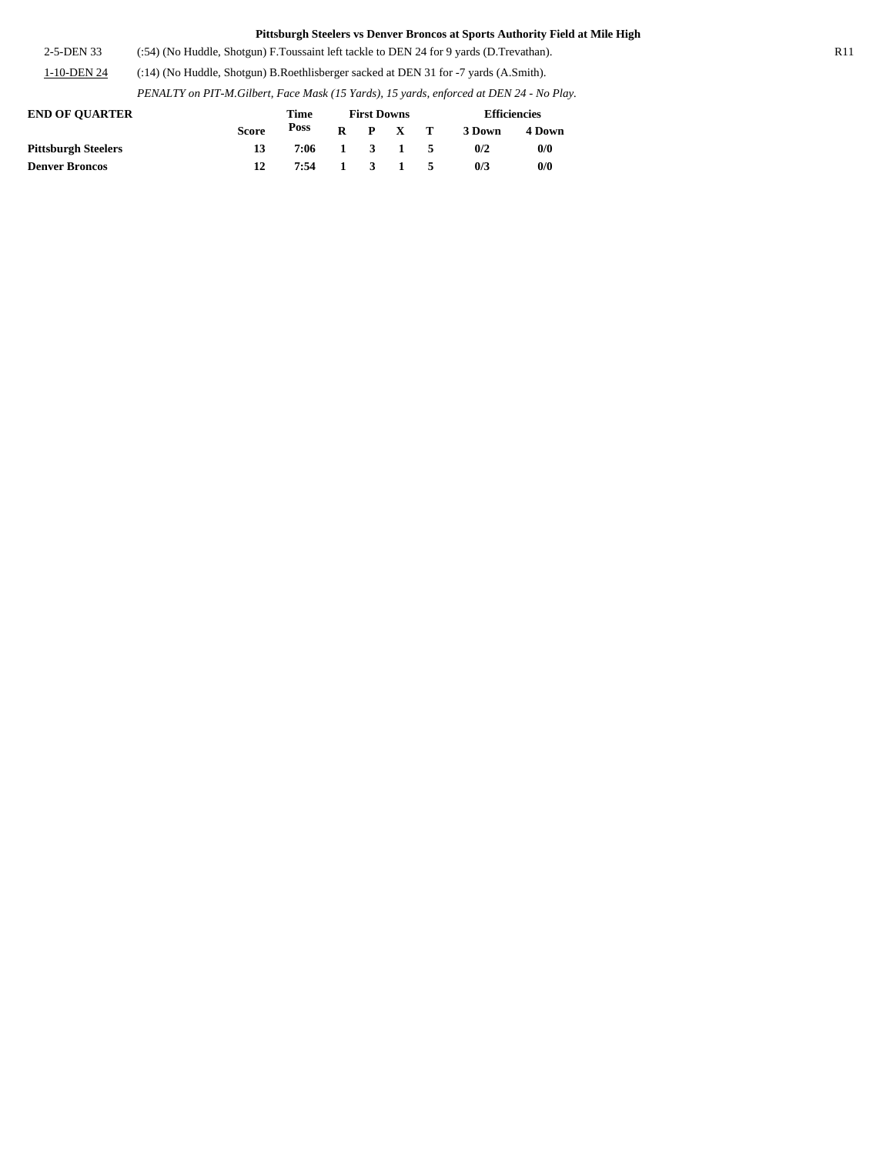2-5-DEN 33 (:54) (No Huddle, Shotgun) F.Toussaint left tackle to DEN 24 for 9 yards (D.Trevathan). R11 1-10-DEN 24 (:14) (No Huddle, Shotgun) B.Roethlisberger sacked at DEN 31 for -7 yards (A.Smith).

*PENALTY on PIT-M.Gilbert, Face Mask (15 Yards), 15 yards, enforced at DEN 24 - No Play.*

| <b>END OF OUARTER</b>      |              | Time | <b>First Downs</b> |                     | <b>Efficiencies</b> |        |  |  |
|----------------------------|--------------|------|--------------------|---------------------|---------------------|--------|--|--|
|                            | <b>Score</b> | Poss |                    | $R$ $P$ $X$ $T$     | 3 Down              | 4 Down |  |  |
| <b>Pittsburgh Steelers</b> | 13           | 7:06 |                    | 1 3 1 5             | 0/2                 | 0/0    |  |  |
| <b>Denver Broncos</b>      |              | 7:54 |                    | $1 \quad 3 \quad 1$ | 0/3                 | 0/0    |  |  |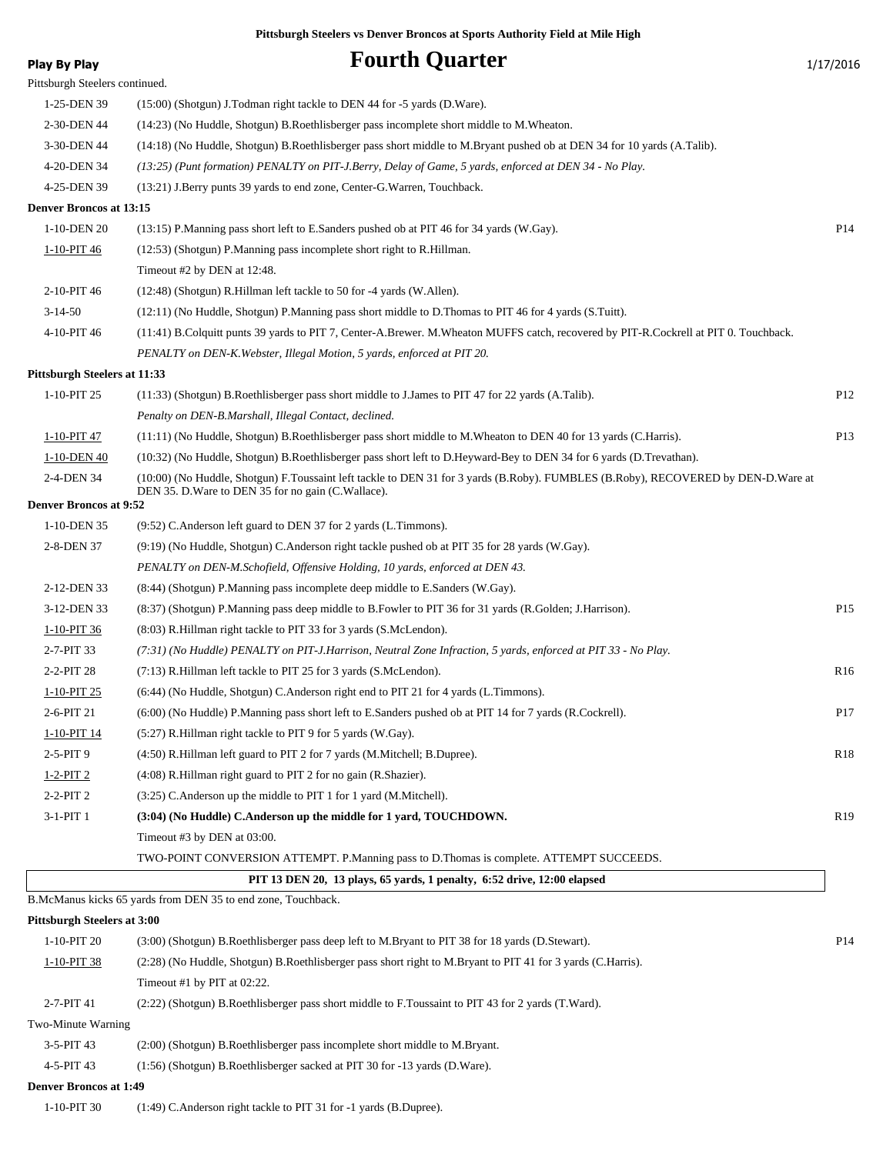**Play By Play Play Play Play Fourth Quarter** 1/17/2016 Pittsburgh Steelers continued. 1-25-DEN 39 (15:00) (Shotgun) J.Todman right tackle to DEN 44 for -5 yards (D.Ware). 2-30-DEN 44 (14:23) (No Huddle, Shotgun) B.Roethlisberger pass incomplete short middle to M.Wheaton. 3-30-DEN 44 (14:18) (No Huddle, Shotgun) B.Roethlisberger pass short middle to M.Bryant pushed ob at DEN 34 for 10 yards (A.Talib). 4-20-DEN 34 *(13:25) (Punt formation) PENALTY on PIT-J.Berry, Delay of Game, 5 yards, enforced at DEN 34 - No Play.* 4-25-DEN 39 (13:21) J.Berry punts 39 yards to end zone, Center-G.Warren, Touchback. **Denver Broncos at 13:15** 1-10-DEN 20 (13:15) P.Manning pass short left to E.Sanders pushed ob at PIT 46 for 34 yards (W.Gay). P14 1-10-PIT 46 (12:53) (Shotgun) P.Manning pass incomplete short right to R.Hillman. Timeout #2 by DEN at 12:48. 2-10-PIT 46 (12:48) (Shotgun) R.Hillman left tackle to 50 for -4 yards (W.Allen). 3-14-50 (12:11) (No Huddle, Shotgun) P.Manning pass short middle to D.Thomas to PIT 46 for 4 yards (S.Tuitt). 4-10-PIT 46 (11:41) B.Colquitt punts 39 yards to PIT 7, Center-A.Brewer. M.Wheaton MUFFS catch, recovered by PIT-R.Cockrell at PIT 0. Touchback. *PENALTY on DEN-K.Webster, Illegal Motion, 5 yards, enforced at PIT 20.* **Pittsburgh Steelers at 11:33** 1-10-PIT 25 (11:33) (Shotgun) B.Roethlisberger pass short middle to J.James to PIT 47 for 22 yards (A.Talib). P12 *Penalty on DEN-B.Marshall, Illegal Contact, declined.* 1-10-PIT 47 (11:11) (No Huddle, Shotgun) B.Roethlisberger pass short middle to M.Wheaton to DEN 40 for 13 yards (C.Harris). P13 1-10-DEN 40 (10:32) (No Huddle, Shotgun) B.Roethlisberger pass short left to D.Heyward-Bey to DEN 34 for 6 yards (D.Trevathan). (10:00) (No Huddle, Shotgun) F.Toussaint left tackle to DEN 31 for 3 yards (B.Roby). FUMBLES (B.Roby), RECOVERED by DEN-D.Ware at DEN 35. D.Ware to DEN 35 for no gain (C.Wallace). 2-4-DEN 34 **Denver Broncos at 9:52** 1-10-DEN 35 (9:52) C.Anderson left guard to DEN 37 for 2 yards (L.Timmons). 2-8-DEN 37 (9:19) (No Huddle, Shotgun) C.Anderson right tackle pushed ob at PIT 35 for 28 yards (W.Gay). *PENALTY on DEN-M.Schofield, Offensive Holding, 10 yards, enforced at DEN 43.* 2-12-DEN 33 (8:44) (Shotgun) P.Manning pass incomplete deep middle to E.Sanders (W.Gay). 3-12-DEN 33 (8:37) (Shotgun) P.Manning pass deep middle to B.Fowler to PIT 36 for 31 yards (R.Golden; J.Harrison). P15 1-10-PIT 36 (8:03) R.Hillman right tackle to PIT 33 for 3 yards (S.McLendon). 2-7-PIT 33 *(7:31) (No Huddle) PENALTY on PIT-J.Harrison, Neutral Zone Infraction, 5 yards, enforced at PIT 33 - No Play.* 2-2-PIT 28 (7:13) R.Hillman left tackle to PIT 25 for 3 yards (S.McLendon). R16 1-10-PIT 25 (6:44) (No Huddle, Shotgun) C.Anderson right end to PIT 21 for 4 yards (L.Timmons). 2-6-PIT 21 (6:00) (No Huddle) P.Manning pass short left to E.Sanders pushed ob at PIT 14 for 7 yards (R.Cockrell). P17 1-10-PIT 14 (5:27) R.Hillman right tackle to PIT 9 for 5 yards (W.Gay). 2-5-PIT 9 (4:50) R.Hillman left guard to PIT 2 for 7 yards (M.Mitchell; B.Dupree). R18 1-2-PIT 2 (4:08) R.Hillman right guard to PIT 2 for no gain (R.Shazier). 2-2-PIT 2 (3:25) C.Anderson up the middle to PIT 1 for 1 yard (M.Mitchell). 3-1-PIT 1 **(3:04) (No Huddle) C.Anderson up the middle for 1 yard, TOUCHDOWN.** R19 Timeout #3 by DEN at 03:00. TWO-POINT CONVERSION ATTEMPT. P.Manning pass to D.Thomas is complete. ATTEMPT SUCCEEDS.  **PIT 13 DEN 20, 13 plays, 65 yards, 1 penalty, 6:52 drive, 12:00 elapsed** B.McManus kicks 65 yards from DEN 35 to end zone, Touchback. **Pittsburgh Steelers at 3:00** 1-10-PIT 20 (3:00) (Shotgun) B.Roethlisberger pass deep left to M.Bryant to PIT 38 for 18 yards (D.Stewart). P14 1-10-PIT 38 (2:28) (No Huddle, Shotgun) B.Roethlisberger pass short right to M.Bryant to PIT 41 for 3 yards (C.Harris). Timeout #1 by PIT at 02:22. 2-7-PIT 41 (2:22) (Shotgun) B.Roethlisberger pass short middle to F.Toussaint to PIT 43 for 2 yards (T.Ward). Two-Minute Warning

- 3-5-PIT 43 (2:00) (Shotgun) B.Roethlisberger pass incomplete short middle to M.Bryant.
- 4-5-PIT 43 (1:56) (Shotgun) B.Roethlisberger sacked at PIT 30 for -13 yards (D.Ware).

#### **Denver Broncos at 1:49**

1-10-PIT 30 (1:49) C.Anderson right tackle to PIT 31 for -1 yards (B.Dupree).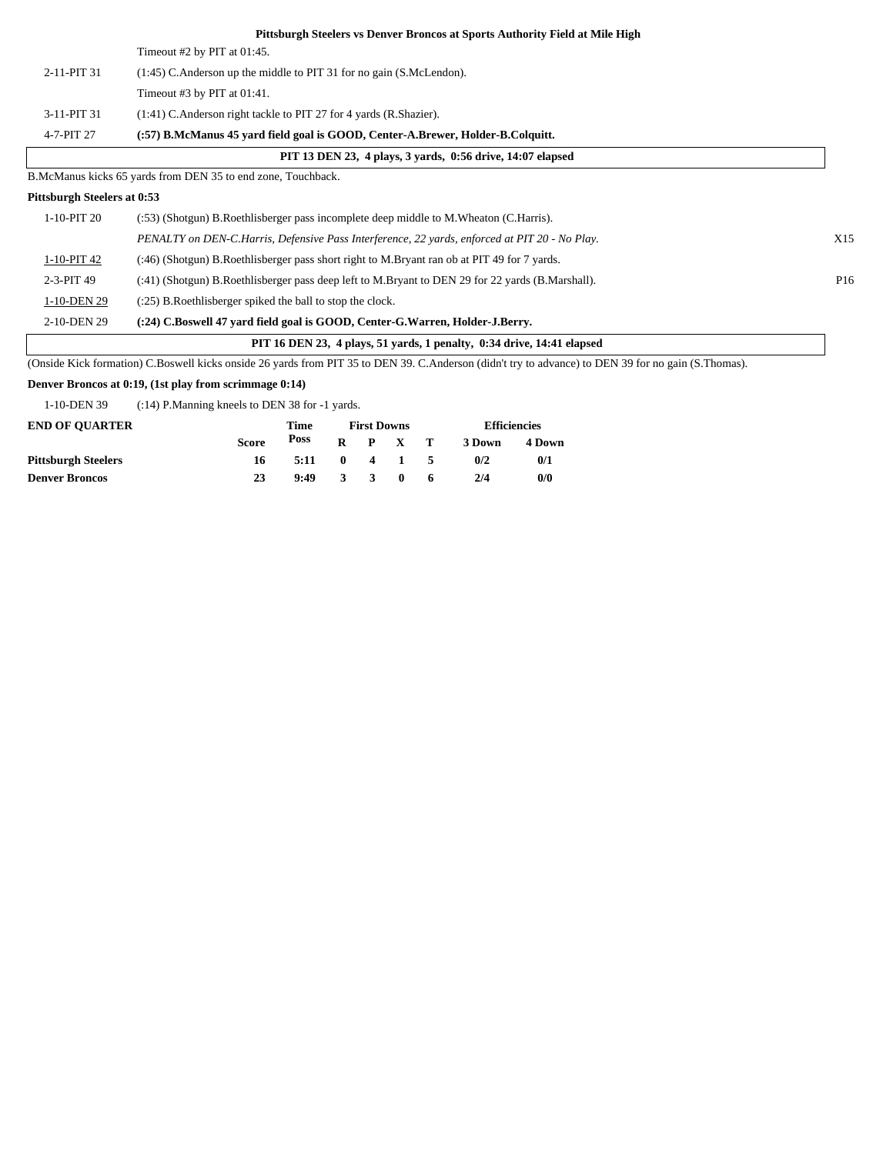|                             | Pittsburgh Steelers vs Denver Broncos at Sports Authority Field at Mile High                                                                             |                 |
|-----------------------------|----------------------------------------------------------------------------------------------------------------------------------------------------------|-----------------|
|                             | Timeout #2 by PIT at $01:45$ .                                                                                                                           |                 |
| 2-11-PIT 31                 | (1:45) C.Anderson up the middle to PIT 31 for no gain (S.McLendon).                                                                                      |                 |
|                             | Timeout #3 by PIT at $01:41$ .                                                                                                                           |                 |
| 3-11-PIT 31                 | (1:41) C.Anderson right tackle to PIT 27 for 4 yards (R.Shazier).                                                                                        |                 |
| 4-7-PIT 27                  | (:57) B.McManus 45 yard field goal is GOOD, Center-A.Brewer, Holder-B.Colquitt.                                                                          |                 |
|                             | PIT 13 DEN 23, 4 plays, 3 yards, 0:56 drive, 14:07 elapsed                                                                                               |                 |
|                             | B.McManus kicks 65 yards from DEN 35 to end zone, Touchback.                                                                                             |                 |
| Pittsburgh Steelers at 0:53 |                                                                                                                                                          |                 |
| 1-10-PIT 20                 | (:53) (Shotgun) B.Roethlisberger pass incomplete deep middle to M.Wheaton (C.Harris).                                                                    |                 |
|                             | PENALTY on DEN-C.Harris, Defensive Pass Interference, 22 yards, enforced at PIT 20 - No Play.                                                            | X15             |
| 1-10-PIT 42                 | (:46) (Shotgun) B.Roethlisberger pass short right to M.Bryant ran ob at PIT 49 for 7 yards.                                                              |                 |
| 2-3-PIT 49                  | (:41) (Shotgun) B.Roethlisberger pass deep left to M.Bryant to DEN 29 for 22 yards (B.Marshall).                                                         | P <sub>16</sub> |
| 1-10-DEN 29                 | (:25) B. Roethlisberger spiked the ball to stop the clock.                                                                                               |                 |
| 2-10-DEN 29                 | (:24) C.Boswell 47 yard field goal is GOOD, Center-G.Warren, Holder-J.Berry.                                                                             |                 |
|                             | PIT 16 DEN 23, 4 plays, 51 yards, 1 penalty, 0:34 drive, 14:41 elapsed                                                                                   |                 |
| (0.111)                     | $\mathbf{1}$ as $\mathbf{1}$ $\mathbf{0}$ produces position $\mathbf{0}$ as $\mathbf{1}$ as $\mathbf{1}$ as $\mathbf{1}$ as $\mathbf{1}$ as $\mathbf{1}$ |                 |

(Onside Kick formation) C.Boswell kicks onside 26 yards from PIT 35 to DEN 39. C.Anderson (didn't try to advance) to DEN 39 for no gain (S.Thomas).

#### **Denver Broncos at 0:19, (1st play from scrimmage 0:14)**

1-10-DEN 39 (:14) P.Manning kneels to DEN 38 for -1 yards.

| <b>END OF OUARTER</b>      |              | Time |              |                         | <b>First Downs</b> |              |        | <b>Efficiencies</b> |  |
|----------------------------|--------------|------|--------------|-------------------------|--------------------|--------------|--------|---------------------|--|
|                            | <b>Score</b> | Poss | R            |                         | P X                | $\mathbf{T}$ | 3 Down | 4 Down              |  |
| <b>Pittsburgh Steelers</b> | 16           | 5:11 | $\mathbf{0}$ |                         | 4 1                | - 5          | 0/2    | 0/1                 |  |
| <b>Denver Broncos</b>      | 23           | 9:49 | 3            | $\overline{\mathbf{3}}$ | $\mathbf{0}$       | 6            | 2/4    | 0/0                 |  |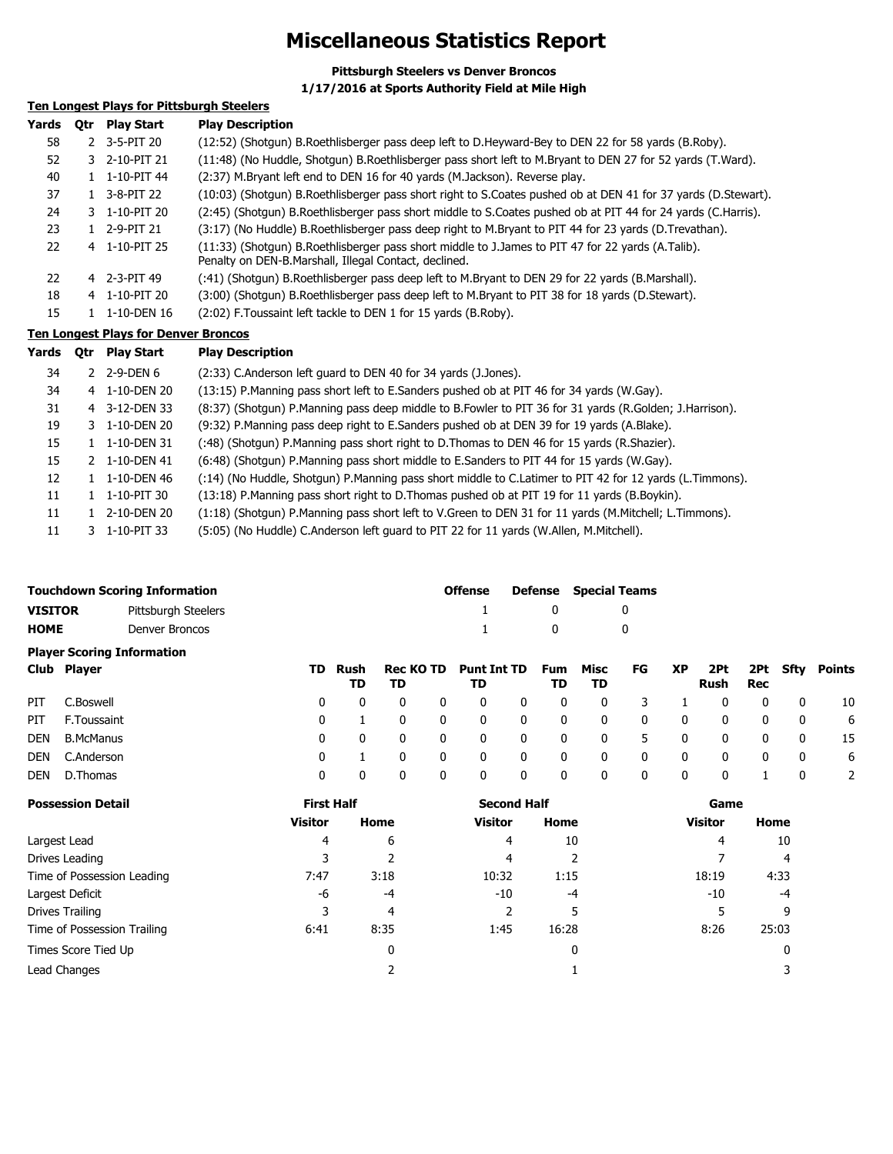### **Miscellaneous Statistics Report**

**Pittsburgh Steelers vs Denver Broncos**

**1/17/2016 at Sports Authority Field at Mile High**

### **Ten Longest Plays for Pittsburgh Steelers**

| Yards | <b>Otr</b> | <b>Play Start</b> | <b>Play Description</b>                                                                                                                                    |
|-------|------------|-------------------|------------------------------------------------------------------------------------------------------------------------------------------------------------|
| 58    |            | 2 3-5-PIT 20      | (12:52) (Shotgun) B.Roethlisberger pass deep left to D.Heyward-Bey to DEN 22 for 58 yards (B.Roby).                                                        |
| 52    |            | 3 2-10-PIT 21     | (11:48) (No Huddle, Shotgun) B.Roethlisberger pass short left to M.Bryant to DEN 27 for 52 yards (T.Ward).                                                 |
| 40    |            | 1-10-PIT 44       | (2:37) M.Bryant left end to DEN 16 for 40 yards (M.Jackson). Reverse play.                                                                                 |
| 37    |            | 3-8-PIT 22        | (10:03) (Shotgun) B.Roethlisberger pass short right to S.Coates pushed ob at DEN 41 for 37 yards (D.Stewart).                                              |
| 24    |            | 3 1-10-PIT 20     | (2:45) (Shotgun) B.Roethlisberger pass short middle to S.Coates pushed ob at PIT 44 for 24 yards (C.Harris).                                               |
| 23    |            | 1 2-9-PIT 21      | (3:17) (No Huddle) B.Roethlisberger pass deep right to M.Bryant to PIT 44 for 23 yards (D.Trevathan).                                                      |
| 22    |            | 4 1-10-PIT 25     | (11:33) (Shotgun) B.Roethlisberger pass short middle to J.James to PIT 47 for 22 yards (A.Talib).<br>Penalty on DEN-B.Marshall, Illegal Contact, declined. |
| 22    |            | 4 2-3-PIT 49      | (:41) (Shotgun) B.Roethlisberger pass deep left to M.Bryant to DEN 29 for 22 yards (B.Marshall).                                                           |
| 18    |            | 4 1-10-PIT 20     | (3:00) (Shotgun) B.Roethlisberger pass deep left to M.Bryant to PIT 38 for 18 yards (D.Stewart).                                                           |
| 15    |            | 1-10-DEN 16       | (2:02) F. Toussaint left tackle to DEN 1 for 15 yards (B. Roby).                                                                                           |
|       |            | .                 |                                                                                                                                                            |

#### **Ten Longest Plays for Denver Broncos**

| Yards | <b>Otr</b> | <b>Play Start</b>        | <b>Play Description</b>                                                                                 |
|-------|------------|--------------------------|---------------------------------------------------------------------------------------------------------|
| 34    |            | 2 2-9-DEN 6              | (2:33) C.Anderson left quard to DEN 40 for 34 yards (J.Jones).                                          |
| 34    |            | 4 1-10-DEN 20            | (13:15) P. Manning pass short left to E. Sanders pushed ob at PIT 46 for 34 yards (W. Gay).             |
| 31    |            | 4 3-12-DEN 33            | (8:37) (Shotgun) P.Manning pass deep middle to B.Fowler to PIT 36 for 31 yards (R.Golden; J.Harrison).  |
| 19    |            | 3 1-10-DEN 20            | (9:32) P.Manning pass deep right to E.Sanders pushed ob at DEN 39 for 19 yards (A.Blake).               |
| 15    |            | 1 1-10-DEN 31            | (:48) (Shotgun) P.Manning pass short right to D.Thomas to DEN 46 for 15 yards (R.Shazier).              |
| 15    | 2          | 1-10-DEN 41              | (6:48) (Shotgun) P.Manning pass short middle to E.Sanders to PIT 44 for 15 yards (W.Gay).               |
| 12    |            | 1-10-DEN 46              | (:14) (No Huddle, Shotgun) P.Manning pass short middle to C.Latimer to PIT 42 for 12 yards (L.Timmons). |
| 11    |            | 1-10-PIT 30              | (13:18) P.Manning pass short right to D.Thomas pushed ob at PIT 19 for 11 yards (B.Boykin).             |
| 11    |            | 1 2-10-DEN 20            | (1:18) (Shotgun) P.Manning pass short left to V.Green to DEN 31 for 11 yards (M.Mitchell; L.Timmons).   |
| 11    |            | $3 \quad 1 - 10 - PIT33$ | (5:05) (No Huddle) C.Anderson left quard to PIT 22 for 11 yards (W.Allen, M.Mitchell).                  |

|                | <b>Touchdown Scoring Information</b> | <b>Offense</b> | Defense Special Teams |
|----------------|--------------------------------------|----------------|-----------------------|
| <b>VISITOR</b> | Pittsburgh Steelers                  |                |                       |
| <b>HOME</b>    | Denver Broncos                       |                |                       |
|                | <b>Player Scoring Information</b>    |                |                       |

|     | Club Player    |          | TD Rush<br>TD | TD             |   | Rec KO TD Punt Int TD Fum Misc<br>TD |                          | TD.                     | TD                      | FG XP                   |                         | Rush                    | Rec |   | 2Pt 2Pt Sfty Points |
|-----|----------------|----------|---------------|----------------|---|--------------------------------------|--------------------------|-------------------------|-------------------------|-------------------------|-------------------------|-------------------------|-----|---|---------------------|
| PIT | C.Boswell      | 0        | $\mathbf{0}$  | $\mathbf{0}$   | 0 | $\mathbf 0$                          | $\overline{\mathbf{0}}$  | 0                       | $0 \qquad 3$            |                         |                         | $\overline{\mathbf{0}}$ | 0   | 0 | -10                 |
| PIT | F.Toussaint    | 0        |               | 0              | 0 | $\mathbf{0}$                         | $\overline{\phantom{0}}$ | - 0                     | $\overline{0}$          | $\overline{\mathbf{0}}$ | $\overline{0}$          | $\overline{\mathbf{0}}$ | 0   | 0 | 6                   |
|     | DEN B.McManus  | $\Omega$ | $\Omega$      | $\overline{0}$ | 0 | $\mathbf{0}$                         | $\overline{\mathbf{0}}$  | - 0                     | $\overline{\mathbf{0}}$ |                         | 5 0                     | $\overline{\mathbf{0}}$ | 0   | 0 | - 15                |
|     | DEN C.Anderson | $\Omega$ |               | $\Omega$       | 0 | $\mathbf{0}$                         | $\overline{\phantom{0}}$ | $\overline{\mathbf{0}}$ | $\overline{0}$          | $\overline{\mathbf{0}}$ | $\overline{\mathbf{0}}$ | $\overline{\mathbf{0}}$ | 0   | 0 | 6                   |
| DEN | D.Thomas       | 0        | 0             | 0              | 0 | $\mathbf 0$                          | 0                        | 0                       | 0                       | 0                       | $\mathbf 0$             | - 0                     |     | 0 | $\overline{2}$      |

| <b>Possession Detail</b>    | <b>First Half</b> |      | <b>Second Half</b> |       | Game           |       |  |
|-----------------------------|-------------------|------|--------------------|-------|----------------|-------|--|
|                             | <b>Visitor</b>    | Home | <b>Visitor</b>     | Home  | <b>Visitor</b> | Home  |  |
| Largest Lead                | 4                 | 6    | 4                  | 10    | 4              | 10    |  |
| Drives Leading              |                   |      | 4                  |       |                | 4     |  |
| Time of Possession Leading  | 7:47              | 3:18 | 10:32              | 1:15  | 18:19          | 4:33  |  |
| Largest Deficit             | -6                | $-4$ | -10                | $-4$  | -10            | $-4$  |  |
| Drives Trailing             |                   | 4    | 2                  | 5     |                | 9     |  |
| Time of Possession Trailing | 6:41              | 8:35 | 1:45               | 16:28 | 8:26           | 25:03 |  |
| Times Score Tied Up         |                   | 0    |                    | 0     |                | 0     |  |
| Lead Changes                |                   |      |                    |       |                | 3     |  |